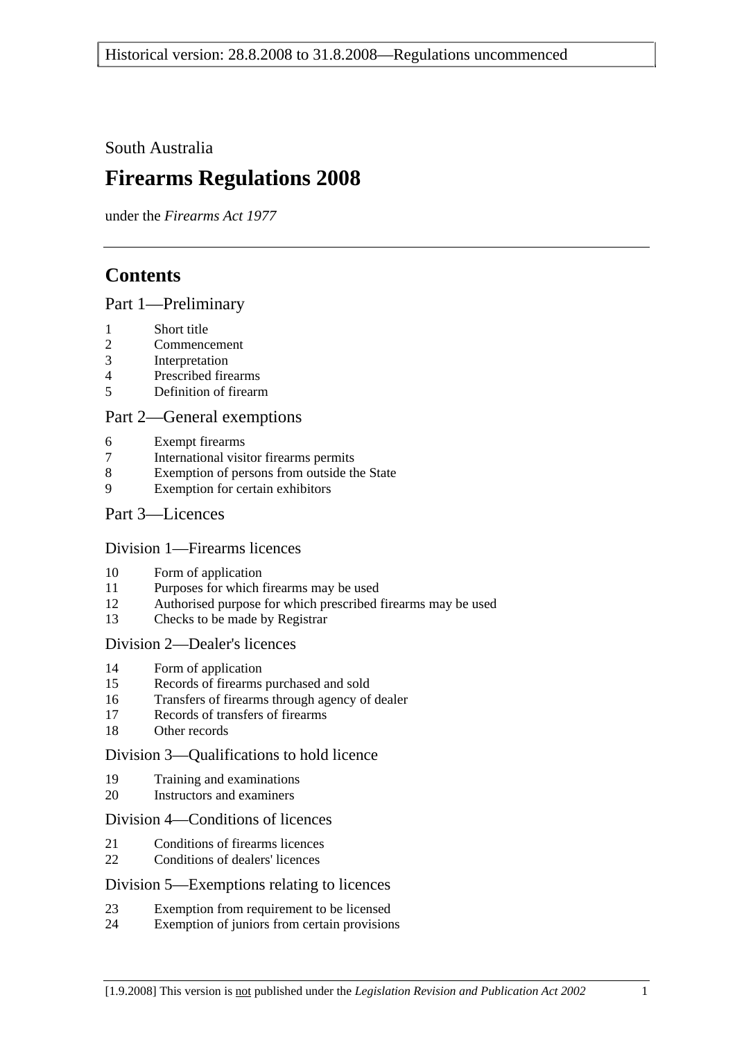South Australia

# **Firearms Regulations 2008**

under the *Firearms Act 1977*

# **Contents**

#### Part 1—Preliminary

- 1 Short title
- 2 Commencement
- 3 Interpretation
- 4 Prescribed firearms
- 5 Definition of firearm

#### Part 2—General exemptions

- 6 Exempt firearms
- 7 International visitor firearms permits
- 8 Exemption of persons from outside the State
- 9 Exemption for certain exhibitors

#### Part 3—Licences

#### Division 1—Firearms licences

- 10 Form of application
- 11 Purposes for which firearms may be used
- 12 Authorised purpose for which prescribed firearms may be used
- 13 Checks to be made by Registrar

#### Division 2—Dealer's licences

- 14 Form of application
- 15 Records of firearms purchased and sold
- 16 Transfers of firearms through agency of dealer
- 17 Records of transfers of firearms
- 18 Other records

#### Division 3—Qualifications to hold licence

- 19 Training and examinations
- 20 Instructors and examiners

#### Division 4—Conditions of licences

- 21 Conditions of firearms licences
- 22 Conditions of dealers' licences

#### Division 5—Exemptions relating to licences

- 23 Exemption from requirement to be licensed
- 24 Exemption of juniors from certain provisions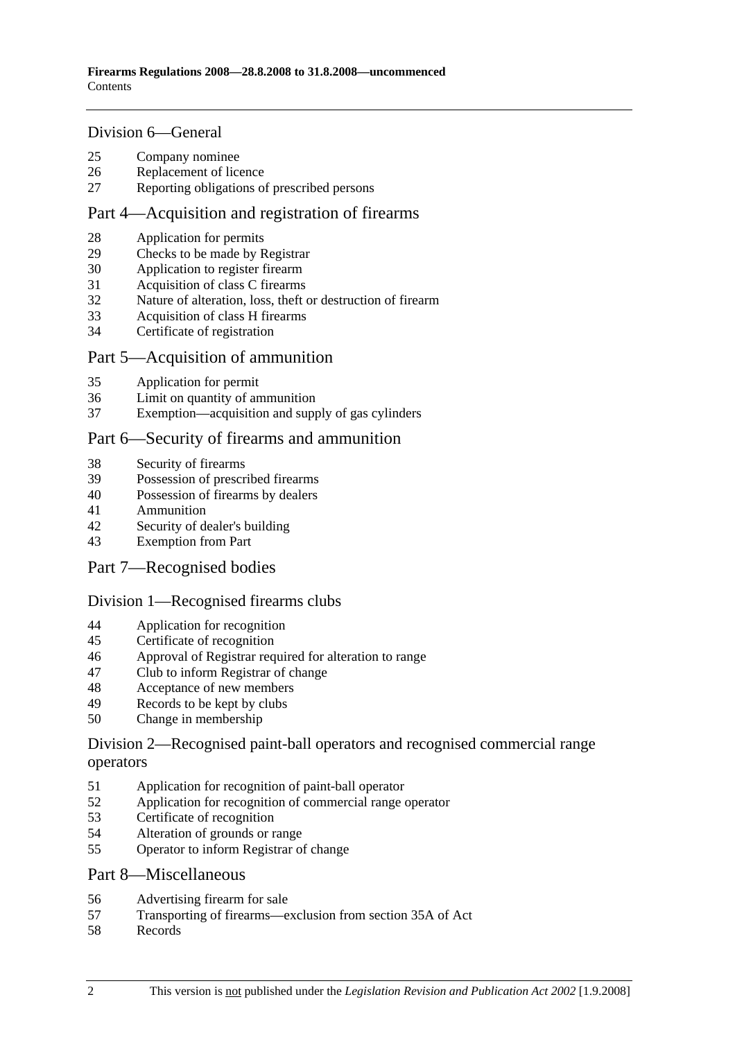#### Division 6—General

- 25 Company nominee
- 26 Replacement of licence
- 27 Reporting obligations of prescribed persons

#### Part 4—Acquisition and registration of firearms

- 28 Application for permits
- 29 Checks to be made by Registrar
- 30 Application to register firearm
- 31 Acquisition of class C firearms
- 32 Nature of alteration, loss, theft or destruction of firearm
- 33 Acquisition of class H firearms
- 34 Certificate of registration

#### Part 5—Acquisition of ammunition

- 35 Application for permit
- 36 Limit on quantity of ammunition
- 37 Exemption—acquisition and supply of gas cylinders

#### Part 6—Security of firearms and ammunition

- 38 Security of firearms
- 39 Possession of prescribed firearms
- 40 Possession of firearms by dealers
- 41 Ammunition
- 42 Security of dealer's building
- 43 Exemption from Part
- Part 7—Recognised bodies

#### Division 1—Recognised firearms clubs

- 44 Application for recognition
- 45 Certificate of recognition
- 46 Approval of Registrar required for alteration to range
- 47 Club to inform Registrar of change
- 48 Acceptance of new members
- 49 Records to be kept by clubs
- 50 Change in membership

#### Division 2—Recognised paint-ball operators and recognised commercial range operators

- 51 Application for recognition of paint-ball operator
- 52 Application for recognition of commercial range operator
- 53 Certificate of recognition
- 54 Alteration of grounds or range
- 55 Operator to inform Registrar of change

#### Part 8—Miscellaneous

- 56 Advertising firearm for sale
- 57 Transporting of firearms—exclusion from section 35A of Act
- 58 Records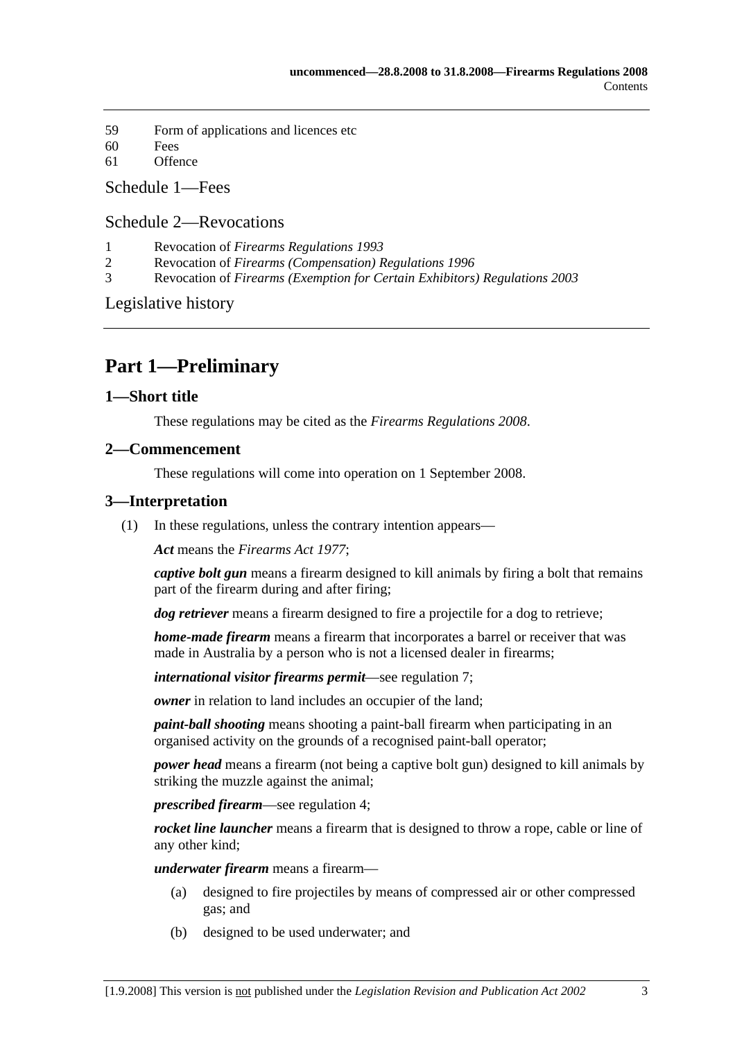- 59 Form of applications and licences etc
- 60 Fees
- 61 Offence

Schedule 1—Fees

### Schedule 2—Revocations

- 1 Revocation of *Firearms Regulations 1993*
- 2 Revocation of *Firearms (Compensation) Regulations 1996*
- 3 Revocation of *Firearms (Exemption for Certain Exhibitors) Regulations 2003*

Legislative history

# **Part 1—Preliminary**

#### **1—Short title**

These regulations may be cited as the *Firearms Regulations 2008*.

#### **2—Commencement**

These regulations will come into operation on 1 September 2008.

#### **3—Interpretation**

(1) In these regulations, unless the contrary intention appears—

*Act* means the *Firearms Act 1977*;

*captive bolt gun* means a firearm designed to kill animals by firing a bolt that remains part of the firearm during and after firing;

*dog retriever* means a firearm designed to fire a projectile for a dog to retrieve;

*home-made firearm* means a firearm that incorporates a barrel or receiver that was made in Australia by a person who is not a licensed dealer in firearms;

*international visitor firearms permit*—see regulation 7;

*owner* in relation to land includes an occupier of the land;

*paint-ball shooting* means shooting a paint-ball firearm when participating in an organised activity on the grounds of a recognised paint-ball operator;

*power head* means a firearm (not being a captive bolt gun) designed to kill animals by striking the muzzle against the animal;

*prescribed firearm*—see regulation 4;

*rocket line launcher* means a firearm that is designed to throw a rope, cable or line of any other kind;

*underwater firearm* means a firearm—

- (a) designed to fire projectiles by means of compressed air or other compressed gas; and
- (b) designed to be used underwater; and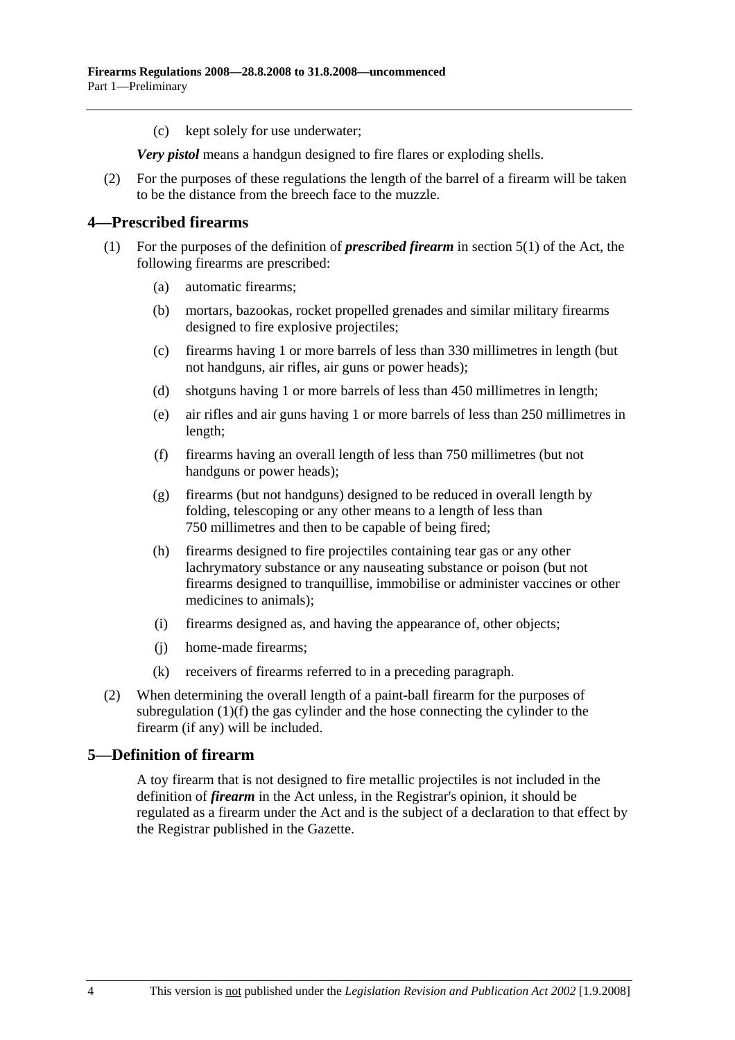(c) kept solely for use underwater;

*Very pistol* means a handgun designed to fire flares or exploding shells.

 (2) For the purposes of these regulations the length of the barrel of a firearm will be taken to be the distance from the breech face to the muzzle.

#### **4—Prescribed firearms**

- (1) For the purposes of the definition of *prescribed firearm* in section 5(1) of the Act, the following firearms are prescribed:
	- (a) automatic firearms;
	- (b) mortars, bazookas, rocket propelled grenades and similar military firearms designed to fire explosive projectiles;
	- (c) firearms having 1 or more barrels of less than 330 millimetres in length (but not handguns, air rifles, air guns or power heads);
	- (d) shotguns having 1 or more barrels of less than 450 millimetres in length;
	- (e) air rifles and air guns having 1 or more barrels of less than 250 millimetres in length;
	- (f) firearms having an overall length of less than 750 millimetres (but not handguns or power heads);
	- (g) firearms (but not handguns) designed to be reduced in overall length by folding, telescoping or any other means to a length of less than 750 millimetres and then to be capable of being fired;
	- (h) firearms designed to fire projectiles containing tear gas or any other lachrymatory substance or any nauseating substance or poison (but not firearms designed to tranquillise, immobilise or administer vaccines or other medicines to animals);
	- (i) firearms designed as, and having the appearance of, other objects;
	- (j) home-made firearms;
	- (k) receivers of firearms referred to in a preceding paragraph.
- (2) When determining the overall length of a paint-ball firearm for the purposes of subregulation (1)(f) the gas cylinder and the hose connecting the cylinder to the firearm (if any) will be included.

#### **5—Definition of firearm**

A toy firearm that is not designed to fire metallic projectiles is not included in the definition of *firearm* in the Act unless, in the Registrar's opinion, it should be regulated as a firearm under the Act and is the subject of a declaration to that effect by the Registrar published in the Gazette.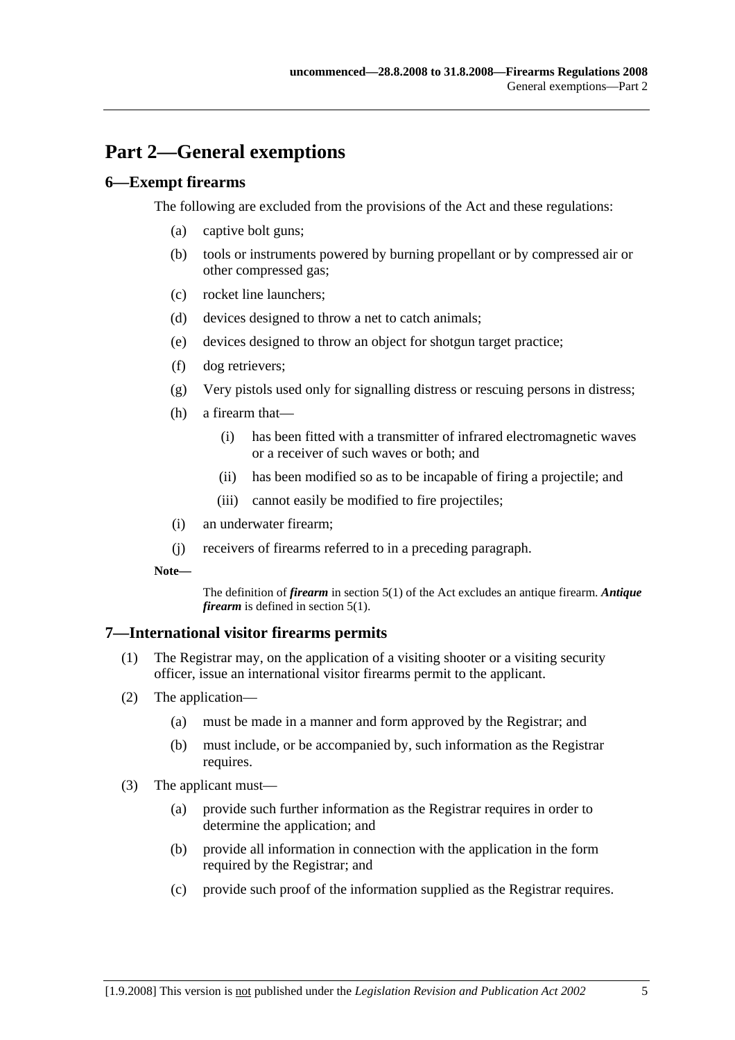# **Part 2—General exemptions**

#### **6—Exempt firearms**

The following are excluded from the provisions of the Act and these regulations:

- (a) captive bolt guns;
- (b) tools or instruments powered by burning propellant or by compressed air or other compressed gas;
- (c) rocket line launchers;
- (d) devices designed to throw a net to catch animals;
- (e) devices designed to throw an object for shotgun target practice;
- (f) dog retrievers;
- (g) Very pistols used only for signalling distress or rescuing persons in distress;
- (h) a firearm that—
	- (i) has been fitted with a transmitter of infrared electromagnetic waves or a receiver of such waves or both; and
	- (ii) has been modified so as to be incapable of firing a projectile; and
	- (iii) cannot easily be modified to fire projectiles;
- (i) an underwater firearm;
- (j) receivers of firearms referred to in a preceding paragraph.
- **Note—**

The definition of *firearm* in section 5(1) of the Act excludes an antique firearm. *Antique firearm* is defined in section 5(1).

#### **7—International visitor firearms permits**

- (1) The Registrar may, on the application of a visiting shooter or a visiting security officer, issue an international visitor firearms permit to the applicant.
- (2) The application—
	- (a) must be made in a manner and form approved by the Registrar; and
	- (b) must include, or be accompanied by, such information as the Registrar requires.
- (3) The applicant must—
	- (a) provide such further information as the Registrar requires in order to determine the application; and
	- (b) provide all information in connection with the application in the form required by the Registrar; and
	- (c) provide such proof of the information supplied as the Registrar requires.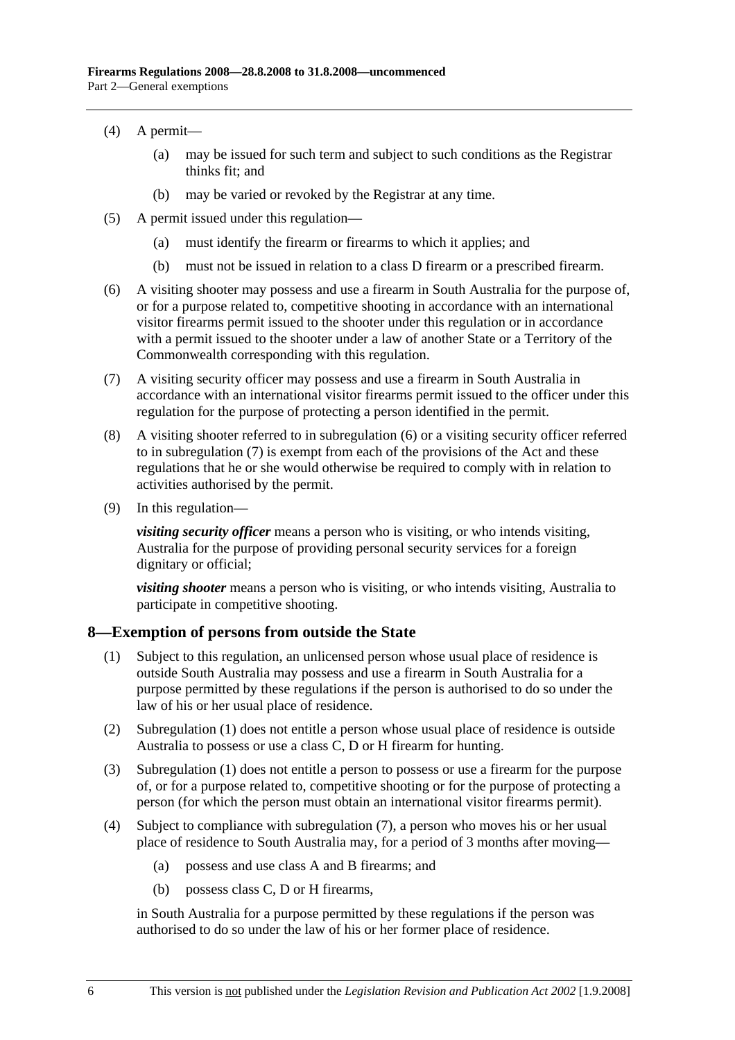- (4) A permit—
	- (a) may be issued for such term and subject to such conditions as the Registrar thinks fit; and
	- (b) may be varied or revoked by the Registrar at any time.
- (5) A permit issued under this regulation—
	- (a) must identify the firearm or firearms to which it applies; and
	- (b) must not be issued in relation to a class D firearm or a prescribed firearm.
- (6) A visiting shooter may possess and use a firearm in South Australia for the purpose of, or for a purpose related to, competitive shooting in accordance with an international visitor firearms permit issued to the shooter under this regulation or in accordance with a permit issued to the shooter under a law of another State or a Territory of the Commonwealth corresponding with this regulation.
- (7) A visiting security officer may possess and use a firearm in South Australia in accordance with an international visitor firearms permit issued to the officer under this regulation for the purpose of protecting a person identified in the permit.
- (8) A visiting shooter referred to in subregulation (6) or a visiting security officer referred to in subregulation (7) is exempt from each of the provisions of the Act and these regulations that he or she would otherwise be required to comply with in relation to activities authorised by the permit.
- (9) In this regulation—

*visiting security officer* means a person who is visiting, or who intends visiting, Australia for the purpose of providing personal security services for a foreign dignitary or official;

*visiting shooter* means a person who is visiting, or who intends visiting, Australia to participate in competitive shooting.

#### **8—Exemption of persons from outside the State**

- (1) Subject to this regulation, an unlicensed person whose usual place of residence is outside South Australia may possess and use a firearm in South Australia for a purpose permitted by these regulations if the person is authorised to do so under the law of his or her usual place of residence.
- (2) Subregulation (1) does not entitle a person whose usual place of residence is outside Australia to possess or use a class C, D or H firearm for hunting.
- (3) Subregulation (1) does not entitle a person to possess or use a firearm for the purpose of, or for a purpose related to, competitive shooting or for the purpose of protecting a person (for which the person must obtain an international visitor firearms permit).
- (4) Subject to compliance with subregulation (7), a person who moves his or her usual place of residence to South Australia may, for a period of 3 months after moving—
	- (a) possess and use class A and B firearms; and
	- (b) possess class C, D or H firearms,

in South Australia for a purpose permitted by these regulations if the person was authorised to do so under the law of his or her former place of residence.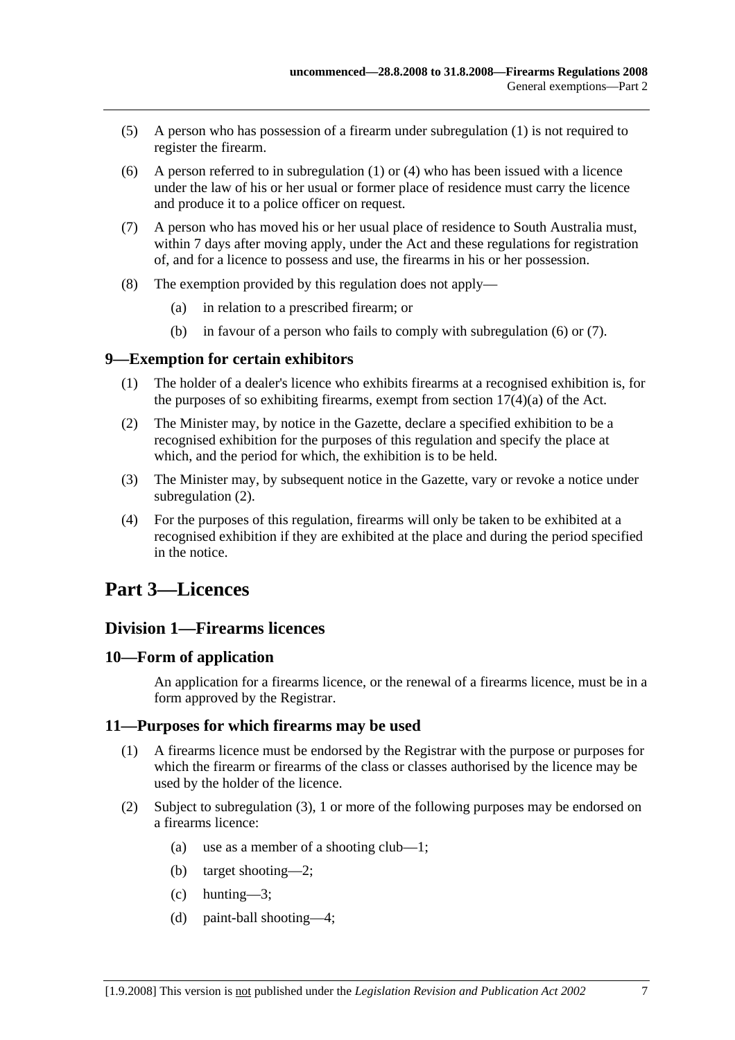- (5) A person who has possession of a firearm under subregulation (1) is not required to register the firearm.
- (6) A person referred to in subregulation  $(1)$  or  $(4)$  who has been issued with a licence under the law of his or her usual or former place of residence must carry the licence and produce it to a police officer on request.
- (7) A person who has moved his or her usual place of residence to South Australia must, within 7 days after moving apply, under the Act and these regulations for registration of, and for a licence to possess and use, the firearms in his or her possession.
- (8) The exemption provided by this regulation does not apply—
	- (a) in relation to a prescribed firearm; or
	- (b) in favour of a person who fails to comply with subregulation (6) or (7).

#### **9—Exemption for certain exhibitors**

- (1) The holder of a dealer's licence who exhibits firearms at a recognised exhibition is, for the purposes of so exhibiting firearms, exempt from section  $17(4)(a)$  of the Act.
- (2) The Minister may, by notice in the Gazette, declare a specified exhibition to be a recognised exhibition for the purposes of this regulation and specify the place at which, and the period for which, the exhibition is to be held.
- (3) The Minister may, by subsequent notice in the Gazette, vary or revoke a notice under subregulation (2).
- (4) For the purposes of this regulation, firearms will only be taken to be exhibited at a recognised exhibition if they are exhibited at the place and during the period specified in the notice.

## **Part 3—Licences**

#### **Division 1—Firearms licences**

#### **10—Form of application**

An application for a firearms licence, or the renewal of a firearms licence, must be in a form approved by the Registrar.

#### **11—Purposes for which firearms may be used**

- (1) A firearms licence must be endorsed by the Registrar with the purpose or purposes for which the firearm or firearms of the class or classes authorised by the licence may be used by the holder of the licence.
- (2) Subject to subregulation (3), 1 or more of the following purposes may be endorsed on a firearms licence:
	- (a) use as a member of a shooting club—1;
	- (b) target shooting—2;
	- (c) hunting—3;
	- (d) paint-ball shooting—4;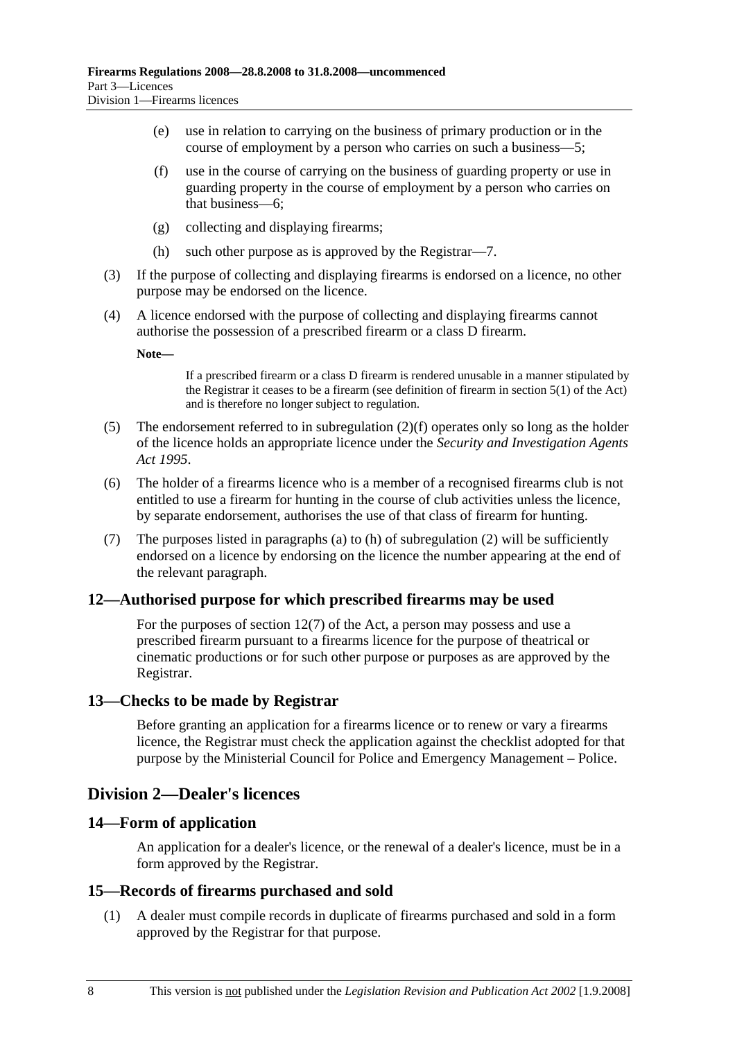- (e) use in relation to carrying on the business of primary production or in the course of employment by a person who carries on such a business—5;
- (f) use in the course of carrying on the business of guarding property or use in guarding property in the course of employment by a person who carries on that business—6;
- (g) collecting and displaying firearms;
- (h) such other purpose as is approved by the Registrar—7.
- (3) If the purpose of collecting and displaying firearms is endorsed on a licence, no other purpose may be endorsed on the licence.
- (4) A licence endorsed with the purpose of collecting and displaying firearms cannot authorise the possession of a prescribed firearm or a class D firearm.

**Note—** 

If a prescribed firearm or a class D firearm is rendered unusable in a manner stipulated by the Registrar it ceases to be a firearm (see definition of firearm in section 5(1) of the Act) and is therefore no longer subject to regulation.

- (5) The endorsement referred to in subregulation (2)(f) operates only so long as the holder of the licence holds an appropriate licence under the *Security and Investigation Agents Act 1995*.
- (6) The holder of a firearms licence who is a member of a recognised firearms club is not entitled to use a firearm for hunting in the course of club activities unless the licence, by separate endorsement, authorises the use of that class of firearm for hunting.
- (7) The purposes listed in paragraphs (a) to (h) of subregulation (2) will be sufficiently endorsed on a licence by endorsing on the licence the number appearing at the end of the relevant paragraph.

#### **12—Authorised purpose for which prescribed firearms may be used**

For the purposes of section 12(7) of the Act, a person may possess and use a prescribed firearm pursuant to a firearms licence for the purpose of theatrical or cinematic productions or for such other purpose or purposes as are approved by the Registrar.

#### **13—Checks to be made by Registrar**

Before granting an application for a firearms licence or to renew or vary a firearms licence, the Registrar must check the application against the checklist adopted for that purpose by the Ministerial Council for Police and Emergency Management – Police.

#### **Division 2—Dealer's licences**

#### **14—Form of application**

An application for a dealer's licence, or the renewal of a dealer's licence, must be in a form approved by the Registrar.

#### **15—Records of firearms purchased and sold**

 (1) A dealer must compile records in duplicate of firearms purchased and sold in a form approved by the Registrar for that purpose.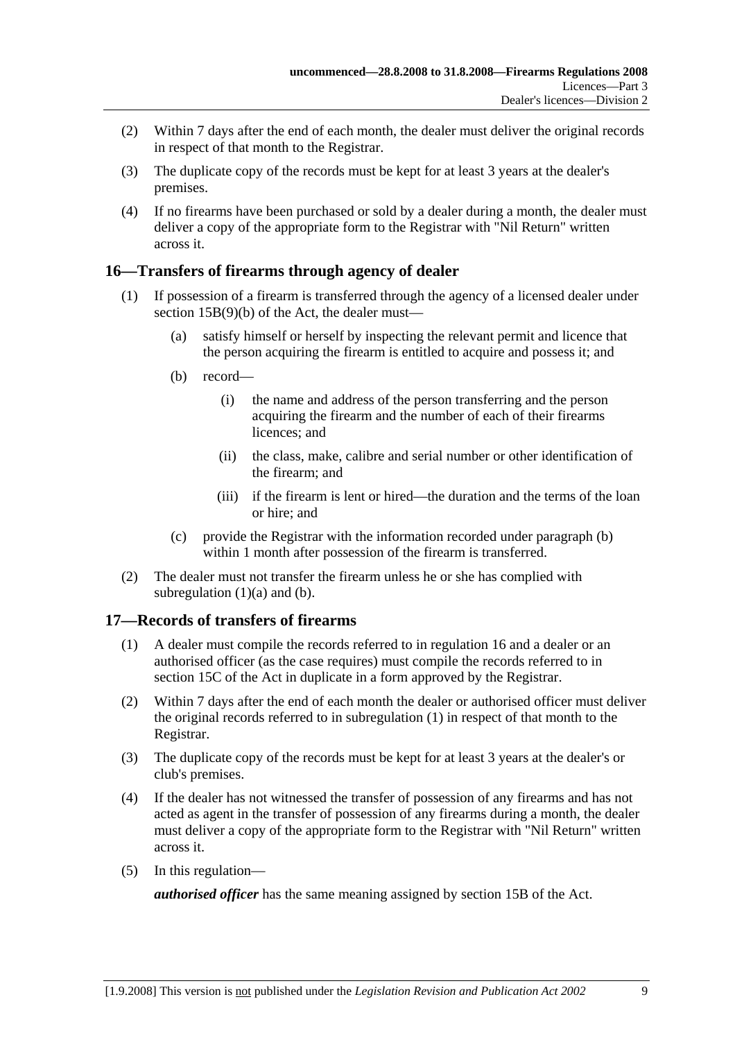- (2) Within 7 days after the end of each month, the dealer must deliver the original records in respect of that month to the Registrar.
- (3) The duplicate copy of the records must be kept for at least 3 years at the dealer's premises.
- (4) If no firearms have been purchased or sold by a dealer during a month, the dealer must deliver a copy of the appropriate form to the Registrar with "Nil Return" written across it.

### **16—Transfers of firearms through agency of dealer**

- (1) If possession of a firearm is transferred through the agency of a licensed dealer under section 15B(9)(b) of the Act, the dealer must—
	- (a) satisfy himself or herself by inspecting the relevant permit and licence that the person acquiring the firearm is entitled to acquire and possess it; and
	- (b) record—
		- (i) the name and address of the person transferring and the person acquiring the firearm and the number of each of their firearms licences; and
		- (ii) the class, make, calibre and serial number or other identification of the firearm; and
		- (iii) if the firearm is lent or hired—the duration and the terms of the loan or hire; and
	- (c) provide the Registrar with the information recorded under paragraph (b) within 1 month after possession of the firearm is transferred.
- (2) The dealer must not transfer the firearm unless he or she has complied with subregulation  $(1)(a)$  and  $(b)$ .

### **17—Records of transfers of firearms**

- (1) A dealer must compile the records referred to in regulation 16 and a dealer or an authorised officer (as the case requires) must compile the records referred to in section 15C of the Act in duplicate in a form approved by the Registrar.
- (2) Within 7 days after the end of each month the dealer or authorised officer must deliver the original records referred to in subregulation (1) in respect of that month to the Registrar.
- (3) The duplicate copy of the records must be kept for at least 3 years at the dealer's or club's premises.
- (4) If the dealer has not witnessed the transfer of possession of any firearms and has not acted as agent in the transfer of possession of any firearms during a month, the dealer must deliver a copy of the appropriate form to the Registrar with "Nil Return" written across it.
- (5) In this regulation—

*authorised officer* has the same meaning assigned by section 15B of the Act.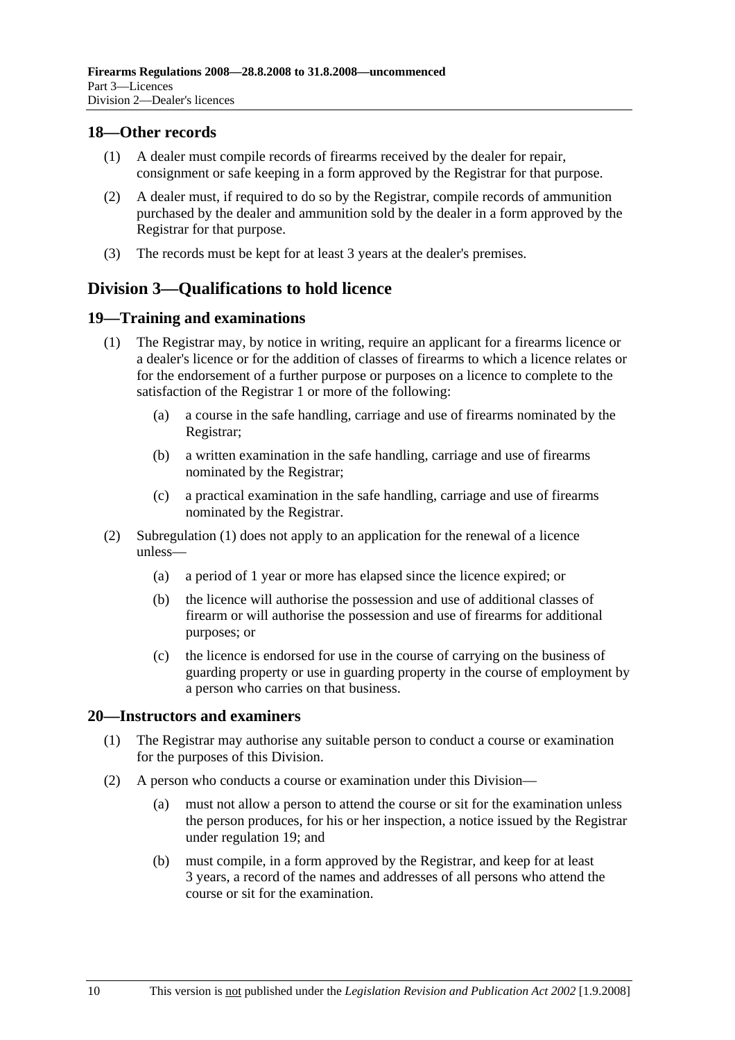#### **18—Other records**

- (1) A dealer must compile records of firearms received by the dealer for repair, consignment or safe keeping in a form approved by the Registrar for that purpose.
- (2) A dealer must, if required to do so by the Registrar, compile records of ammunition purchased by the dealer and ammunition sold by the dealer in a form approved by the Registrar for that purpose.
- (3) The records must be kept for at least 3 years at the dealer's premises.

## **Division 3—Qualifications to hold licence**

#### **19—Training and examinations**

- (1) The Registrar may, by notice in writing, require an applicant for a firearms licence or a dealer's licence or for the addition of classes of firearms to which a licence relates or for the endorsement of a further purpose or purposes on a licence to complete to the satisfaction of the Registrar 1 or more of the following:
	- (a) a course in the safe handling, carriage and use of firearms nominated by the Registrar;
	- (b) a written examination in the safe handling, carriage and use of firearms nominated by the Registrar;
	- (c) a practical examination in the safe handling, carriage and use of firearms nominated by the Registrar.
- (2) Subregulation (1) does not apply to an application for the renewal of a licence unless—
	- (a) a period of 1 year or more has elapsed since the licence expired; or
	- (b) the licence will authorise the possession and use of additional classes of firearm or will authorise the possession and use of firearms for additional purposes; or
	- (c) the licence is endorsed for use in the course of carrying on the business of guarding property or use in guarding property in the course of employment by a person who carries on that business.

#### **20—Instructors and examiners**

- (1) The Registrar may authorise any suitable person to conduct a course or examination for the purposes of this Division.
- (2) A person who conducts a course or examination under this Division—
	- (a) must not allow a person to attend the course or sit for the examination unless the person produces, for his or her inspection, a notice issued by the Registrar under regulation 19; and
	- (b) must compile, in a form approved by the Registrar, and keep for at least 3 years, a record of the names and addresses of all persons who attend the course or sit for the examination.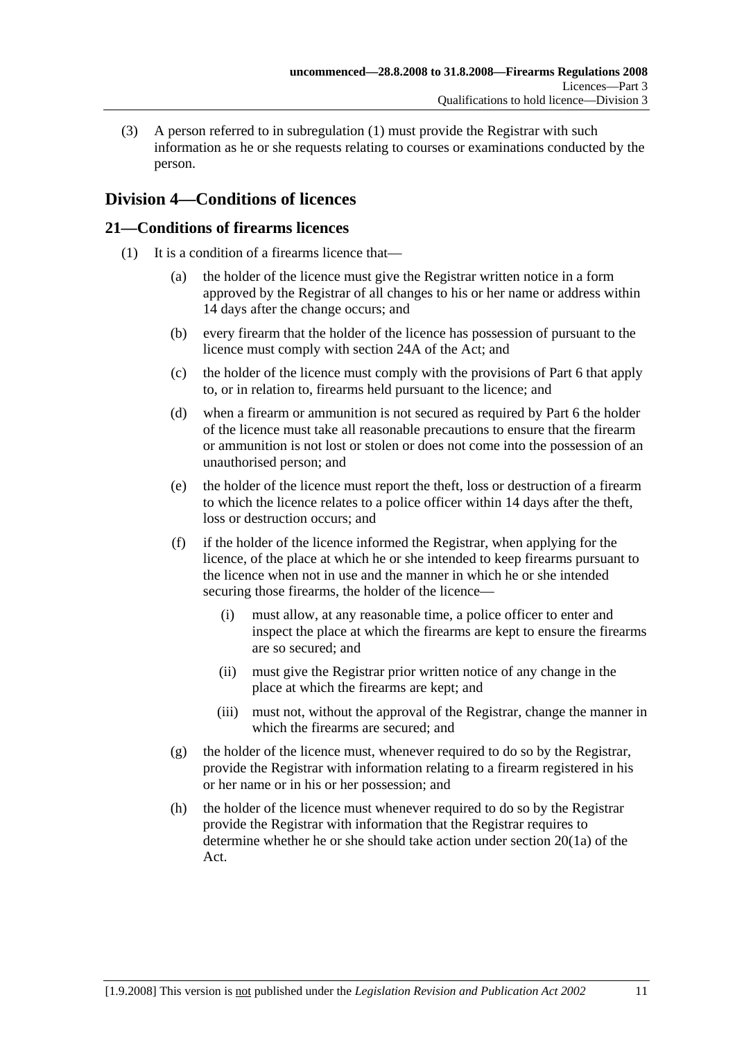(3) A person referred to in subregulation (1) must provide the Registrar with such information as he or she requests relating to courses or examinations conducted by the person.

## **Division 4—Conditions of licences**

### **21—Conditions of firearms licences**

- (1) It is a condition of a firearms licence that—
	- (a) the holder of the licence must give the Registrar written notice in a form approved by the Registrar of all changes to his or her name or address within 14 days after the change occurs; and
	- (b) every firearm that the holder of the licence has possession of pursuant to the licence must comply with section 24A of the Act; and
	- (c) the holder of the licence must comply with the provisions of Part 6 that apply to, or in relation to, firearms held pursuant to the licence; and
	- (d) when a firearm or ammunition is not secured as required by Part 6 the holder of the licence must take all reasonable precautions to ensure that the firearm or ammunition is not lost or stolen or does not come into the possession of an unauthorised person; and
	- (e) the holder of the licence must report the theft, loss or destruction of a firearm to which the licence relates to a police officer within 14 days after the theft, loss or destruction occurs; and
	- (f) if the holder of the licence informed the Registrar, when applying for the licence, of the place at which he or she intended to keep firearms pursuant to the licence when not in use and the manner in which he or she intended securing those firearms, the holder of the licence—
		- (i) must allow, at any reasonable time, a police officer to enter and inspect the place at which the firearms are kept to ensure the firearms are so secured; and
		- (ii) must give the Registrar prior written notice of any change in the place at which the firearms are kept; and
		- (iii) must not, without the approval of the Registrar, change the manner in which the firearms are secured; and
	- (g) the holder of the licence must, whenever required to do so by the Registrar, provide the Registrar with information relating to a firearm registered in his or her name or in his or her possession; and
	- (h) the holder of the licence must whenever required to do so by the Registrar provide the Registrar with information that the Registrar requires to determine whether he or she should take action under section 20(1a) of the Act.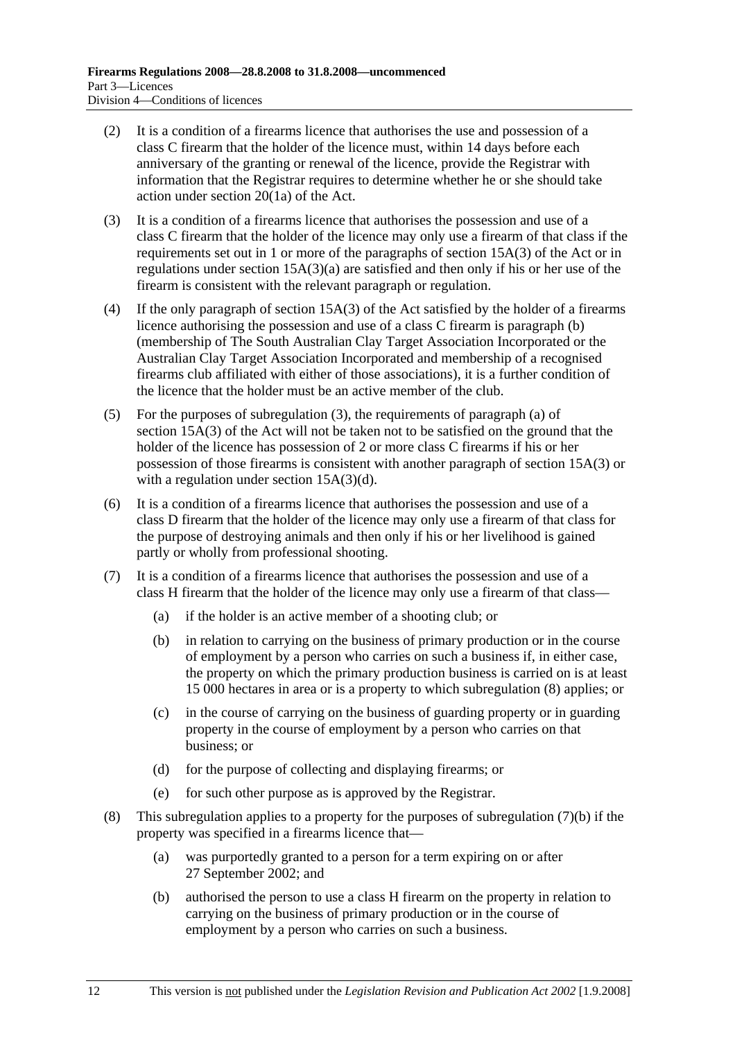- (2) It is a condition of a firearms licence that authorises the use and possession of a class C firearm that the holder of the licence must, within 14 days before each anniversary of the granting or renewal of the licence, provide the Registrar with information that the Registrar requires to determine whether he or she should take action under section 20(1a) of the Act.
- (3) It is a condition of a firearms licence that authorises the possession and use of a class C firearm that the holder of the licence may only use a firearm of that class if the requirements set out in 1 or more of the paragraphs of section 15A(3) of the Act or in regulations under section 15A(3)(a) are satisfied and then only if his or her use of the firearm is consistent with the relevant paragraph or regulation.
- (4) If the only paragraph of section 15A(3) of the Act satisfied by the holder of a firearms licence authorising the possession and use of a class C firearm is paragraph (b) (membership of The South Australian Clay Target Association Incorporated or the Australian Clay Target Association Incorporated and membership of a recognised firearms club affiliated with either of those associations), it is a further condition of the licence that the holder must be an active member of the club.
- (5) For the purposes of subregulation (3), the requirements of paragraph (a) of section 15A(3) of the Act will not be taken not to be satisfied on the ground that the holder of the licence has possession of 2 or more class C firearms if his or her possession of those firearms is consistent with another paragraph of section 15A(3) or with a regulation under section 15A(3)(d).
- (6) It is a condition of a firearms licence that authorises the possession and use of a class D firearm that the holder of the licence may only use a firearm of that class for the purpose of destroying animals and then only if his or her livelihood is gained partly or wholly from professional shooting.
- (7) It is a condition of a firearms licence that authorises the possession and use of a class H firearm that the holder of the licence may only use a firearm of that class—
	- (a) if the holder is an active member of a shooting club; or
	- (b) in relation to carrying on the business of primary production or in the course of employment by a person who carries on such a business if, in either case, the property on which the primary production business is carried on is at least 15 000 hectares in area or is a property to which subregulation (8) applies; or
	- (c) in the course of carrying on the business of guarding property or in guarding property in the course of employment by a person who carries on that business; or
	- (d) for the purpose of collecting and displaying firearms; or
	- (e) for such other purpose as is approved by the Registrar.
- (8) This subregulation applies to a property for the purposes of subregulation (7)(b) if the property was specified in a firearms licence that—
	- (a) was purportedly granted to a person for a term expiring on or after 27 September 2002; and
	- (b) authorised the person to use a class H firearm on the property in relation to carrying on the business of primary production or in the course of employment by a person who carries on such a business.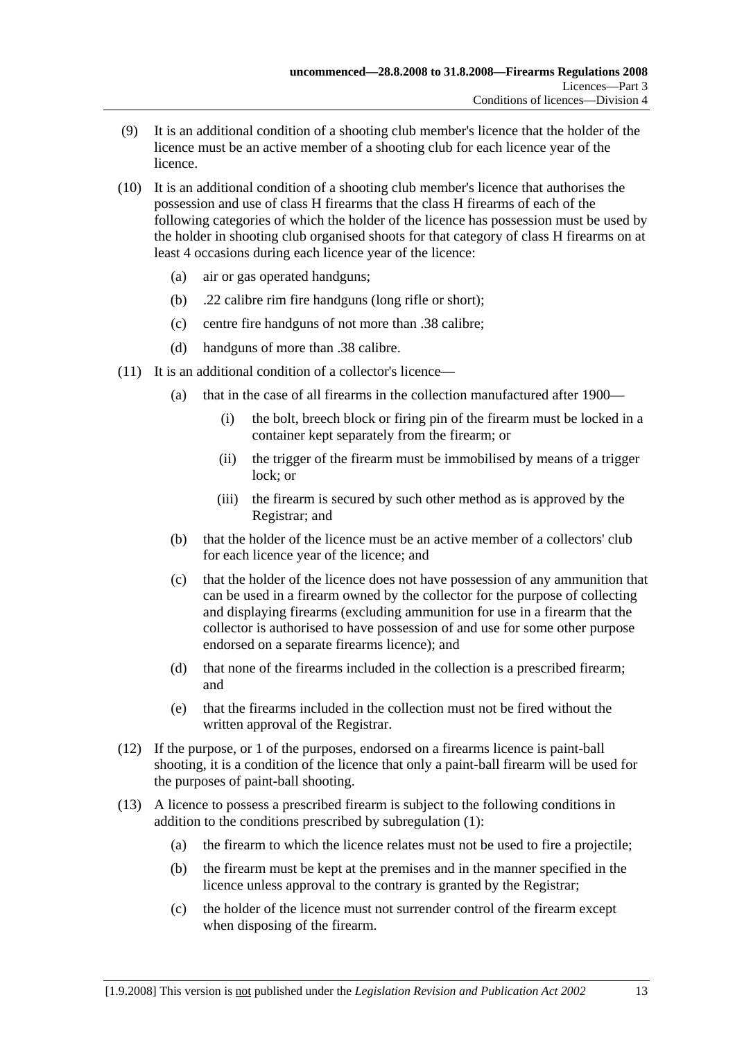- (9) It is an additional condition of a shooting club member's licence that the holder of the licence must be an active member of a shooting club for each licence year of the licence.
- (10) It is an additional condition of a shooting club member's licence that authorises the possession and use of class H firearms that the class H firearms of each of the following categories of which the holder of the licence has possession must be used by the holder in shooting club organised shoots for that category of class H firearms on at least 4 occasions during each licence year of the licence:
	- (a) air or gas operated handguns;
	- (b) .22 calibre rim fire handguns (long rifle or short);
	- (c) centre fire handguns of not more than .38 calibre;
	- (d) handguns of more than .38 calibre.
- (11) It is an additional condition of a collector's licence—
	- (a) that in the case of all firearms in the collection manufactured after 1900—
		- (i) the bolt, breech block or firing pin of the firearm must be locked in a container kept separately from the firearm; or
		- (ii) the trigger of the firearm must be immobilised by means of a trigger lock; or
		- (iii) the firearm is secured by such other method as is approved by the Registrar; and
	- (b) that the holder of the licence must be an active member of a collectors' club for each licence year of the licence; and
	- (c) that the holder of the licence does not have possession of any ammunition that can be used in a firearm owned by the collector for the purpose of collecting and displaying firearms (excluding ammunition for use in a firearm that the collector is authorised to have possession of and use for some other purpose endorsed on a separate firearms licence); and
	- (d) that none of the firearms included in the collection is a prescribed firearm; and
	- (e) that the firearms included in the collection must not be fired without the written approval of the Registrar.
- (12) If the purpose, or 1 of the purposes, endorsed on a firearms licence is paint-ball shooting, it is a condition of the licence that only a paint-ball firearm will be used for the purposes of paint-ball shooting.
- (13) A licence to possess a prescribed firearm is subject to the following conditions in addition to the conditions prescribed by subregulation (1):
	- (a) the firearm to which the licence relates must not be used to fire a projectile;
	- (b) the firearm must be kept at the premises and in the manner specified in the licence unless approval to the contrary is granted by the Registrar;
	- (c) the holder of the licence must not surrender control of the firearm except when disposing of the firearm.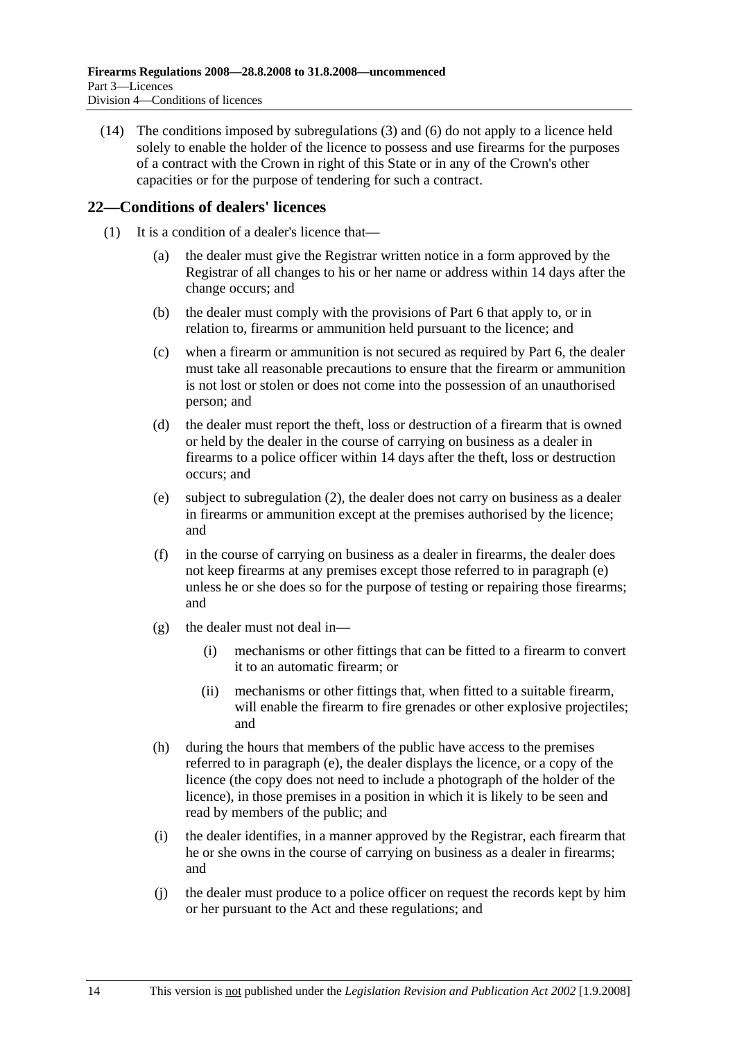(14) The conditions imposed by subregulations (3) and (6) do not apply to a licence held solely to enable the holder of the licence to possess and use firearms for the purposes of a contract with the Crown in right of this State or in any of the Crown's other capacities or for the purpose of tendering for such a contract.

#### **22—Conditions of dealers' licences**

- (1) It is a condition of a dealer's licence that—
	- (a) the dealer must give the Registrar written notice in a form approved by the Registrar of all changes to his or her name or address within 14 days after the change occurs; and
	- (b) the dealer must comply with the provisions of Part 6 that apply to, or in relation to, firearms or ammunition held pursuant to the licence; and
	- (c) when a firearm or ammunition is not secured as required by Part 6, the dealer must take all reasonable precautions to ensure that the firearm or ammunition is not lost or stolen or does not come into the possession of an unauthorised person; and
	- (d) the dealer must report the theft, loss or destruction of a firearm that is owned or held by the dealer in the course of carrying on business as a dealer in firearms to a police officer within 14 days after the theft, loss or destruction occurs; and
	- (e) subject to subregulation (2), the dealer does not carry on business as a dealer in firearms or ammunition except at the premises authorised by the licence; and
	- (f) in the course of carrying on business as a dealer in firearms, the dealer does not keep firearms at any premises except those referred to in paragraph (e) unless he or she does so for the purpose of testing or repairing those firearms; and
	- $(g)$  the dealer must not deal in—
		- (i) mechanisms or other fittings that can be fitted to a firearm to convert it to an automatic firearm; or
		- (ii) mechanisms or other fittings that, when fitted to a suitable firearm, will enable the firearm to fire grenades or other explosive projectiles; and
	- (h) during the hours that members of the public have access to the premises referred to in paragraph (e), the dealer displays the licence, or a copy of the licence (the copy does not need to include a photograph of the holder of the licence), in those premises in a position in which it is likely to be seen and read by members of the public; and
	- (i) the dealer identifies, in a manner approved by the Registrar, each firearm that he or she owns in the course of carrying on business as a dealer in firearms; and
	- (j) the dealer must produce to a police officer on request the records kept by him or her pursuant to the Act and these regulations; and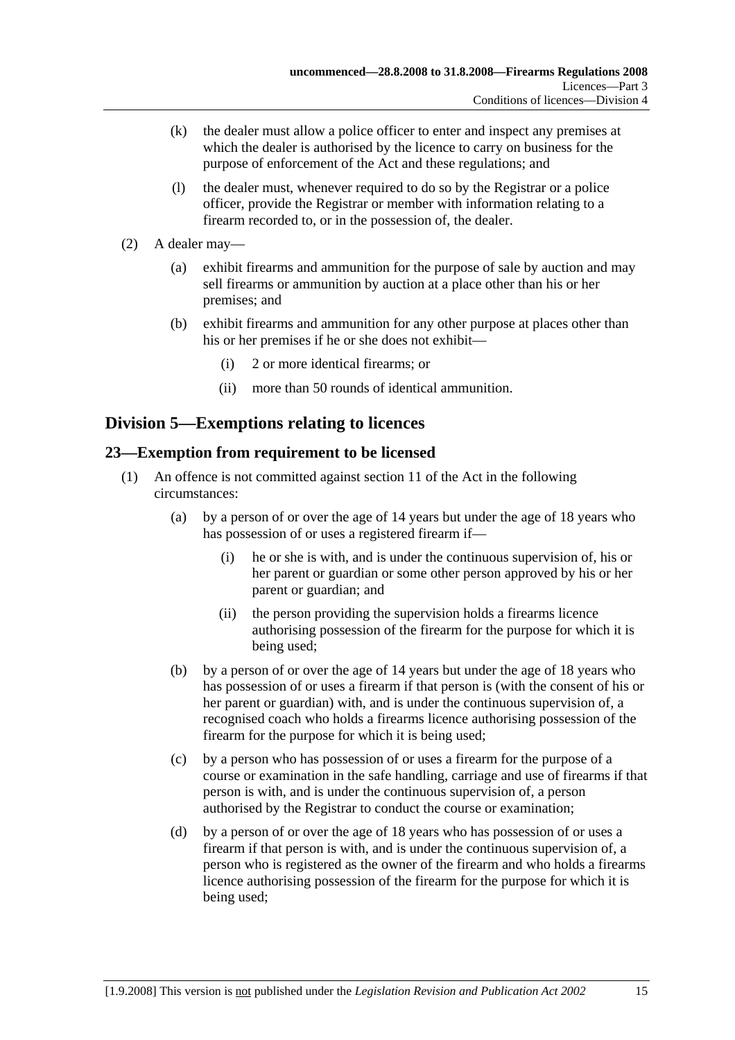- (k) the dealer must allow a police officer to enter and inspect any premises at which the dealer is authorised by the licence to carry on business for the purpose of enforcement of the Act and these regulations; and
- (l) the dealer must, whenever required to do so by the Registrar or a police officer, provide the Registrar or member with information relating to a firearm recorded to, or in the possession of, the dealer.
- (2) A dealer may—
	- (a) exhibit firearms and ammunition for the purpose of sale by auction and may sell firearms or ammunition by auction at a place other than his or her premises; and
	- (b) exhibit firearms and ammunition for any other purpose at places other than his or her premises if he or she does not exhibit—
		- (i) 2 or more identical firearms; or
		- (ii) more than 50 rounds of identical ammunition.

## **Division 5—Exemptions relating to licences**

#### **23—Exemption from requirement to be licensed**

- (1) An offence is not committed against section 11 of the Act in the following circumstances:
	- (a) by a person of or over the age of 14 years but under the age of 18 years who has possession of or uses a registered firearm if—
		- (i) he or she is with, and is under the continuous supervision of, his or her parent or guardian or some other person approved by his or her parent or guardian; and
		- (ii) the person providing the supervision holds a firearms licence authorising possession of the firearm for the purpose for which it is being used;
	- (b) by a person of or over the age of 14 years but under the age of 18 years who has possession of or uses a firearm if that person is (with the consent of his or her parent or guardian) with, and is under the continuous supervision of, a recognised coach who holds a firearms licence authorising possession of the firearm for the purpose for which it is being used;
	- (c) by a person who has possession of or uses a firearm for the purpose of a course or examination in the safe handling, carriage and use of firearms if that person is with, and is under the continuous supervision of, a person authorised by the Registrar to conduct the course or examination;
	- (d) by a person of or over the age of 18 years who has possession of or uses a firearm if that person is with, and is under the continuous supervision of, a person who is registered as the owner of the firearm and who holds a firearms licence authorising possession of the firearm for the purpose for which it is being used;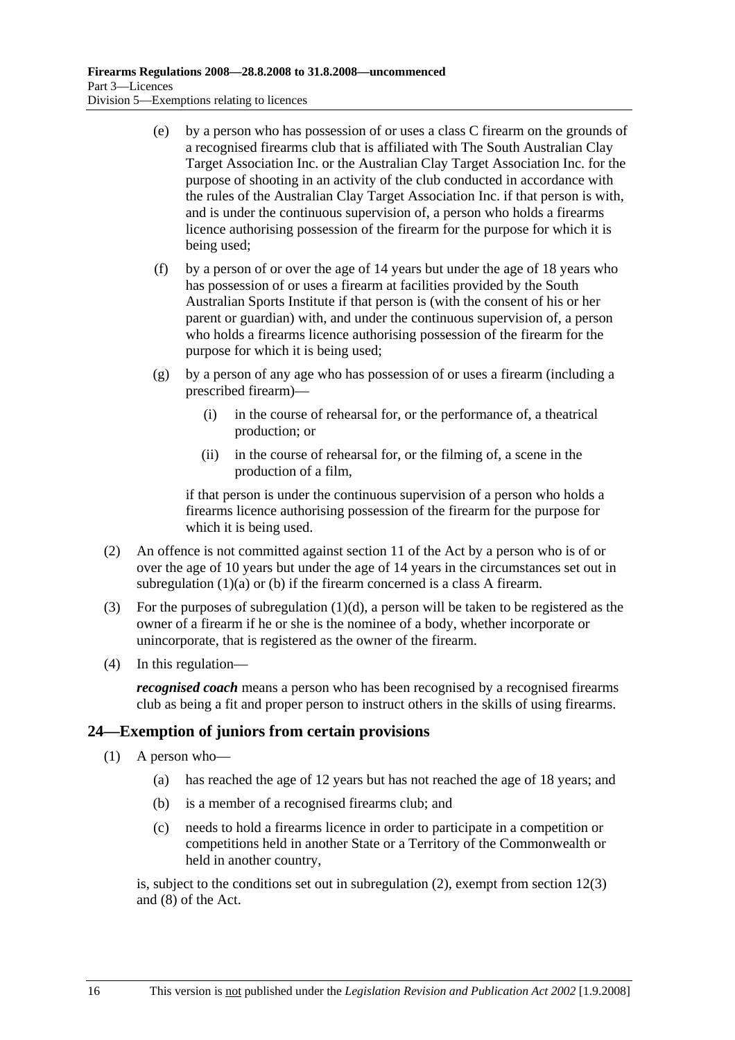- (e) by a person who has possession of or uses a class C firearm on the grounds of a recognised firearms club that is affiliated with The South Australian Clay Target Association Inc. or the Australian Clay Target Association Inc. for the purpose of shooting in an activity of the club conducted in accordance with the rules of the Australian Clay Target Association Inc. if that person is with, and is under the continuous supervision of, a person who holds a firearms licence authorising possession of the firearm for the purpose for which it is being used;
- (f) by a person of or over the age of 14 years but under the age of 18 years who has possession of or uses a firearm at facilities provided by the South Australian Sports Institute if that person is (with the consent of his or her parent or guardian) with, and under the continuous supervision of, a person who holds a firearms licence authorising possession of the firearm for the purpose for which it is being used;
- (g) by a person of any age who has possession of or uses a firearm (including a prescribed firearm)—
	- (i) in the course of rehearsal for, or the performance of, a theatrical production; or
	- (ii) in the course of rehearsal for, or the filming of, a scene in the production of a film,

if that person is under the continuous supervision of a person who holds a firearms licence authorising possession of the firearm for the purpose for which it is being used.

- (2) An offence is not committed against section 11 of the Act by a person who is of or over the age of 10 years but under the age of 14 years in the circumstances set out in subregulation (1)(a) or (b) if the firearm concerned is a class A firearm.
- (3) For the purposes of subregulation  $(1)(d)$ , a person will be taken to be registered as the owner of a firearm if he or she is the nominee of a body, whether incorporate or unincorporate, that is registered as the owner of the firearm.
- (4) In this regulation—

*recognised coach* means a person who has been recognised by a recognised firearms club as being a fit and proper person to instruct others in the skills of using firearms.

#### **24—Exemption of juniors from certain provisions**

- (1) A person who—
	- (a) has reached the age of 12 years but has not reached the age of 18 years; and
	- (b) is a member of a recognised firearms club; and
	- (c) needs to hold a firearms licence in order to participate in a competition or competitions held in another State or a Territory of the Commonwealth or held in another country,

is, subject to the conditions set out in subregulation (2), exempt from section 12(3) and (8) of the Act.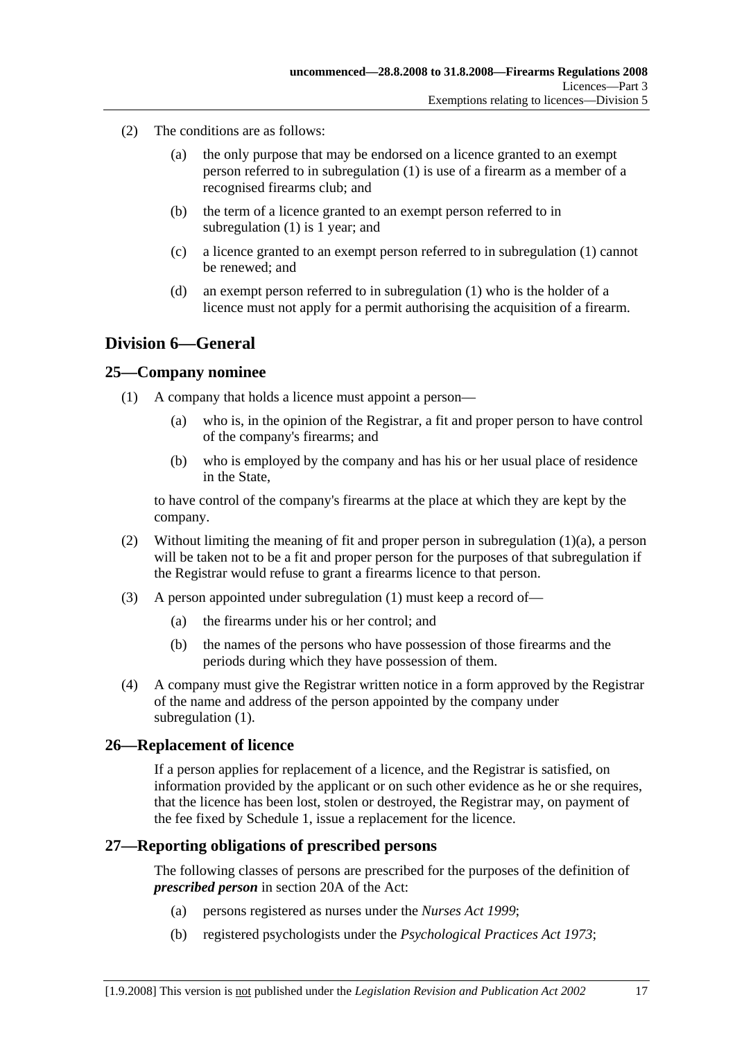- (2) The conditions are as follows:
	- (a) the only purpose that may be endorsed on a licence granted to an exempt person referred to in subregulation (1) is use of a firearm as a member of a recognised firearms club; and
	- (b) the term of a licence granted to an exempt person referred to in subregulation (1) is 1 year; and
	- (c) a licence granted to an exempt person referred to in subregulation (1) cannot be renewed; and
	- (d) an exempt person referred to in subregulation (1) who is the holder of a licence must not apply for a permit authorising the acquisition of a firearm.

### **Division 6—General**

#### **25—Company nominee**

- (1) A company that holds a licence must appoint a person—
	- (a) who is, in the opinion of the Registrar, a fit and proper person to have control of the company's firearms; and
	- (b) who is employed by the company and has his or her usual place of residence in the State,

to have control of the company's firearms at the place at which they are kept by the company.

- (2) Without limiting the meaning of fit and proper person in subregulation  $(1)(a)$ , a person will be taken not to be a fit and proper person for the purposes of that subregulation if the Registrar would refuse to grant a firearms licence to that person.
- (3) A person appointed under subregulation (1) must keep a record of—
	- (a) the firearms under his or her control; and
	- (b) the names of the persons who have possession of those firearms and the periods during which they have possession of them.
- (4) A company must give the Registrar written notice in a form approved by the Registrar of the name and address of the person appointed by the company under subregulation (1).

#### **26—Replacement of licence**

If a person applies for replacement of a licence, and the Registrar is satisfied, on information provided by the applicant or on such other evidence as he or she requires, that the licence has been lost, stolen or destroyed, the Registrar may, on payment of the fee fixed by Schedule 1, issue a replacement for the licence.

#### **27—Reporting obligations of prescribed persons**

The following classes of persons are prescribed for the purposes of the definition of *prescribed person* in section 20A of the Act:

- (a) persons registered as nurses under the *Nurses Act 1999*;
- (b) registered psychologists under the *Psychological Practices Act 1973*;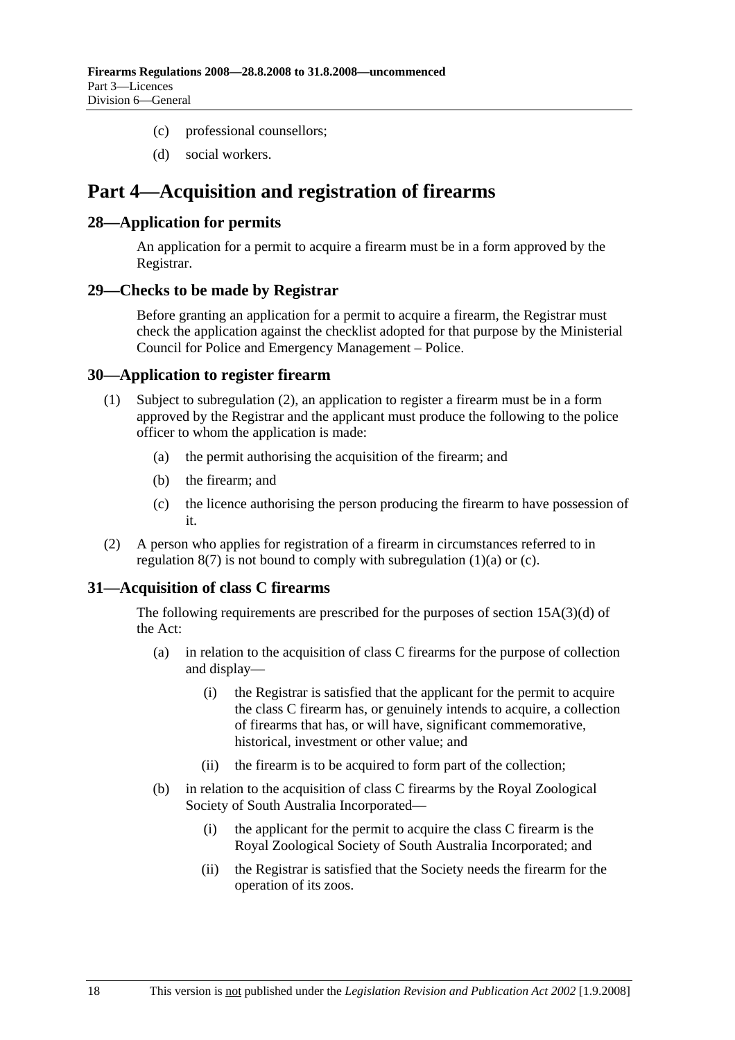- (c) professional counsellors;
- (d) social workers.

## **Part 4—Acquisition and registration of firearms**

#### **28—Application for permits**

An application for a permit to acquire a firearm must be in a form approved by the Registrar.

#### **29—Checks to be made by Registrar**

Before granting an application for a permit to acquire a firearm, the Registrar must check the application against the checklist adopted for that purpose by the Ministerial Council for Police and Emergency Management – Police.

#### **30—Application to register firearm**

- (1) Subject to subregulation (2), an application to register a firearm must be in a form approved by the Registrar and the applicant must produce the following to the police officer to whom the application is made:
	- (a) the permit authorising the acquisition of the firearm; and
	- (b) the firearm; and
	- (c) the licence authorising the person producing the firearm to have possession of it.
- (2) A person who applies for registration of a firearm in circumstances referred to in regulation  $8(7)$  is not bound to comply with subregulation  $(1)(a)$  or  $(c)$ .

#### **31—Acquisition of class C firearms**

The following requirements are prescribed for the purposes of section 15A(3)(d) of the Act:

- (a) in relation to the acquisition of class C firearms for the purpose of collection and display—
	- (i) the Registrar is satisfied that the applicant for the permit to acquire the class C firearm has, or genuinely intends to acquire, a collection of firearms that has, or will have, significant commemorative, historical, investment or other value; and
	- (ii) the firearm is to be acquired to form part of the collection;
- (b) in relation to the acquisition of class C firearms by the Royal Zoological Society of South Australia Incorporated—
	- (i) the applicant for the permit to acquire the class C firearm is the Royal Zoological Society of South Australia Incorporated; and
	- (ii) the Registrar is satisfied that the Society needs the firearm for the operation of its zoos.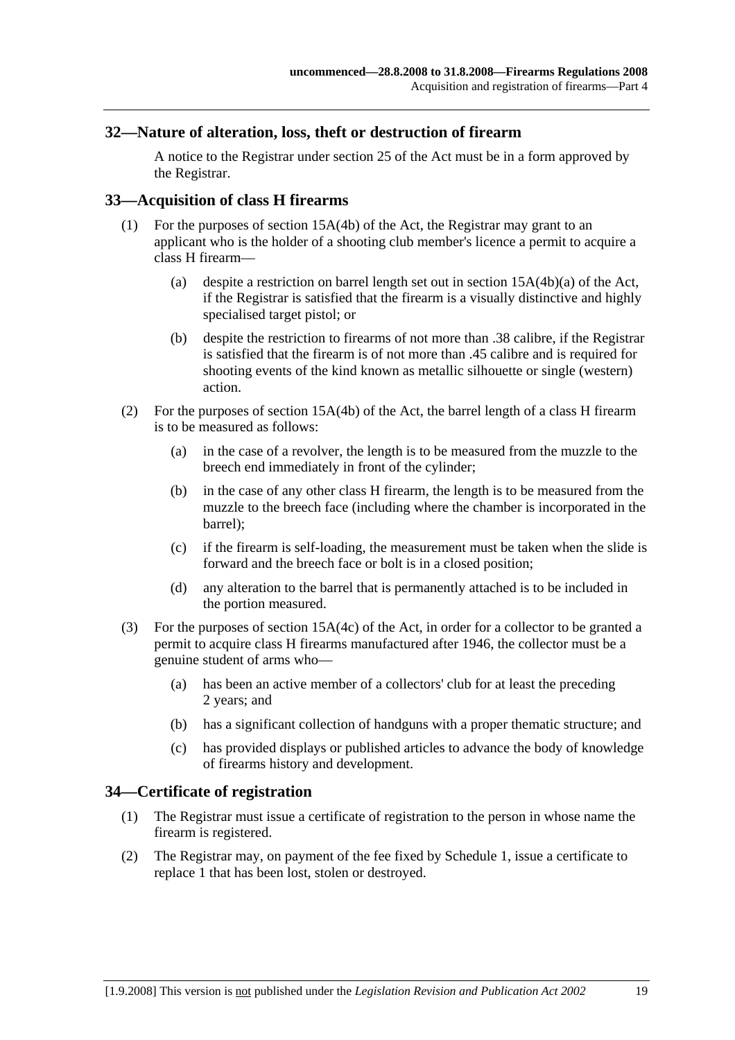#### **32—Nature of alteration, loss, theft or destruction of firearm**

A notice to the Registrar under section 25 of the Act must be in a form approved by the Registrar.

#### **33—Acquisition of class H firearms**

- (1) For the purposes of section 15A(4b) of the Act, the Registrar may grant to an applicant who is the holder of a shooting club member's licence a permit to acquire a class H firearm—
	- (a) despite a restriction on barrel length set out in section 15A(4b)(a) of the Act, if the Registrar is satisfied that the firearm is a visually distinctive and highly specialised target pistol; or
	- (b) despite the restriction to firearms of not more than .38 calibre, if the Registrar is satisfied that the firearm is of not more than .45 calibre and is required for shooting events of the kind known as metallic silhouette or single (western) action.
- (2) For the purposes of section 15A(4b) of the Act, the barrel length of a class H firearm is to be measured as follows:
	- (a) in the case of a revolver, the length is to be measured from the muzzle to the breech end immediately in front of the cylinder;
	- (b) in the case of any other class H firearm, the length is to be measured from the muzzle to the breech face (including where the chamber is incorporated in the barrel);
	- (c) if the firearm is self-loading, the measurement must be taken when the slide is forward and the breech face or bolt is in a closed position;
	- (d) any alteration to the barrel that is permanently attached is to be included in the portion measured.
- (3) For the purposes of section 15A(4c) of the Act, in order for a collector to be granted a permit to acquire class H firearms manufactured after 1946, the collector must be a genuine student of arms who—
	- (a) has been an active member of a collectors' club for at least the preceding 2 years; and
	- (b) has a significant collection of handguns with a proper thematic structure; and
	- (c) has provided displays or published articles to advance the body of knowledge of firearms history and development.

#### **34—Certificate of registration**

- (1) The Registrar must issue a certificate of registration to the person in whose name the firearm is registered.
- (2) The Registrar may, on payment of the fee fixed by Schedule 1, issue a certificate to replace 1 that has been lost, stolen or destroyed.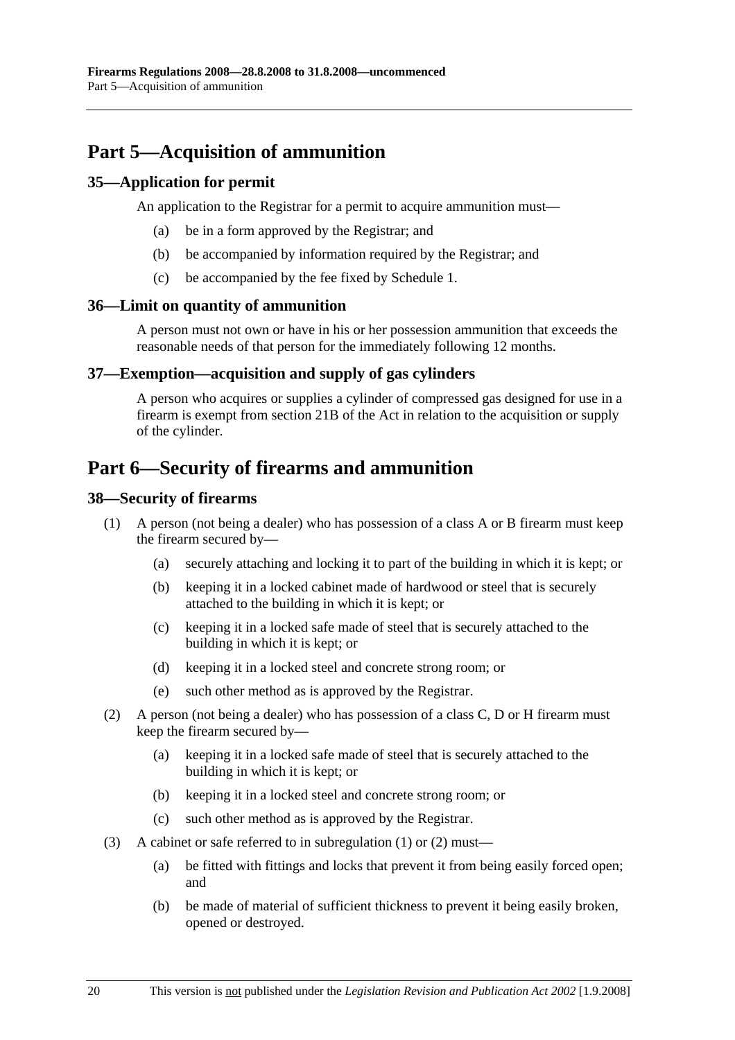# **Part 5—Acquisition of ammunition**

#### **35—Application for permit**

An application to the Registrar for a permit to acquire ammunition must—

- (a) be in a form approved by the Registrar; and
- (b) be accompanied by information required by the Registrar; and
- (c) be accompanied by the fee fixed by Schedule 1.

#### **36—Limit on quantity of ammunition**

A person must not own or have in his or her possession ammunition that exceeds the reasonable needs of that person for the immediately following 12 months.

#### **37—Exemption—acquisition and supply of gas cylinders**

A person who acquires or supplies a cylinder of compressed gas designed for use in a firearm is exempt from section 21B of the Act in relation to the acquisition or supply of the cylinder.

## **Part 6—Security of firearms and ammunition**

#### **38—Security of firearms**

- (1) A person (not being a dealer) who has possession of a class A or B firearm must keep the firearm secured by—
	- (a) securely attaching and locking it to part of the building in which it is kept; or
	- (b) keeping it in a locked cabinet made of hardwood or steel that is securely attached to the building in which it is kept; or
	- (c) keeping it in a locked safe made of steel that is securely attached to the building in which it is kept; or
	- (d) keeping it in a locked steel and concrete strong room; or
	- (e) such other method as is approved by the Registrar.
- (2) A person (not being a dealer) who has possession of a class C, D or H firearm must keep the firearm secured by—
	- (a) keeping it in a locked safe made of steel that is securely attached to the building in which it is kept; or
	- (b) keeping it in a locked steel and concrete strong room; or
	- (c) such other method as is approved by the Registrar.
- (3) A cabinet or safe referred to in subregulation (1) or (2) must—
	- (a) be fitted with fittings and locks that prevent it from being easily forced open; and
	- (b) be made of material of sufficient thickness to prevent it being easily broken, opened or destroyed.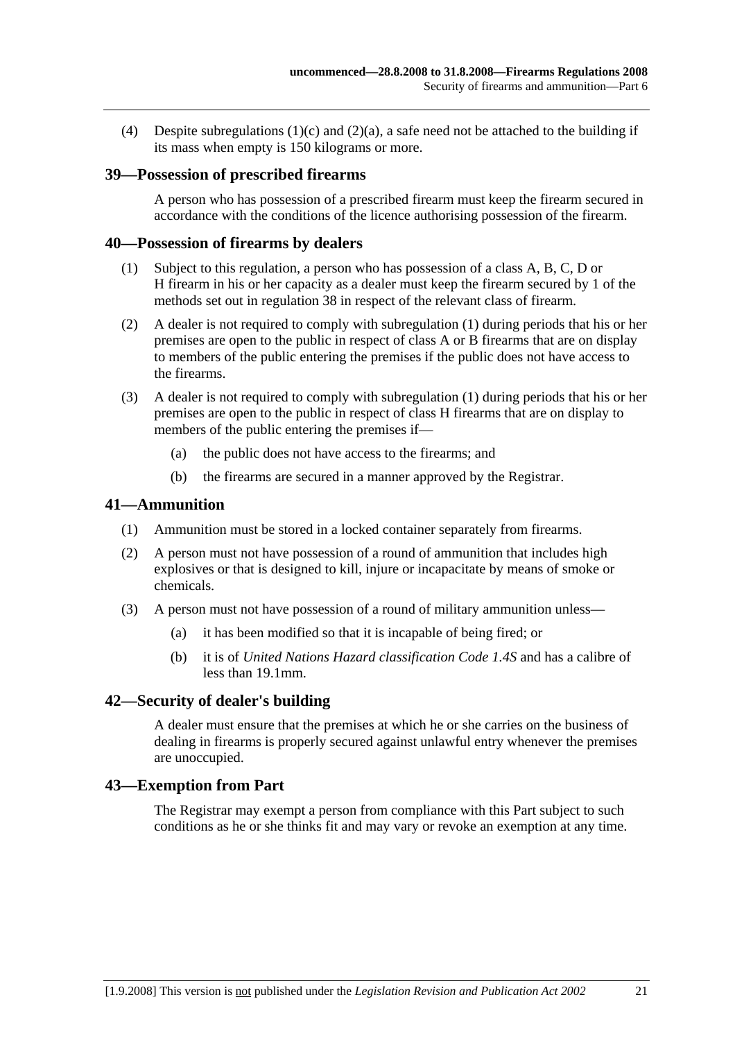(4) Despite subregulations  $(1)(c)$  and  $(2)(a)$ , a safe need not be attached to the building if its mass when empty is 150 kilograms or more.

#### **39—Possession of prescribed firearms**

A person who has possession of a prescribed firearm must keep the firearm secured in accordance with the conditions of the licence authorising possession of the firearm.

#### **40—Possession of firearms by dealers**

- (1) Subject to this regulation, a person who has possession of a class A, B, C, D or H firearm in his or her capacity as a dealer must keep the firearm secured by 1 of the methods set out in regulation 38 in respect of the relevant class of firearm.
- (2) A dealer is not required to comply with subregulation (1) during periods that his or her premises are open to the public in respect of class A or B firearms that are on display to members of the public entering the premises if the public does not have access to the firearms.
- (3) A dealer is not required to comply with subregulation (1) during periods that his or her premises are open to the public in respect of class H firearms that are on display to members of the public entering the premises if—
	- (a) the public does not have access to the firearms; and
	- (b) the firearms are secured in a manner approved by the Registrar.

#### **41—Ammunition**

- (1) Ammunition must be stored in a locked container separately from firearms.
- (2) A person must not have possession of a round of ammunition that includes high explosives or that is designed to kill, injure or incapacitate by means of smoke or chemicals.
- (3) A person must not have possession of a round of military ammunition unless—
	- (a) it has been modified so that it is incapable of being fired; or
	- (b) it is of *United Nations Hazard classification Code 1.4S* and has a calibre of less than 19.1mm.

#### **42—Security of dealer's building**

A dealer must ensure that the premises at which he or she carries on the business of dealing in firearms is properly secured against unlawful entry whenever the premises are unoccupied.

#### **43—Exemption from Part**

The Registrar may exempt a person from compliance with this Part subject to such conditions as he or she thinks fit and may vary or revoke an exemption at any time.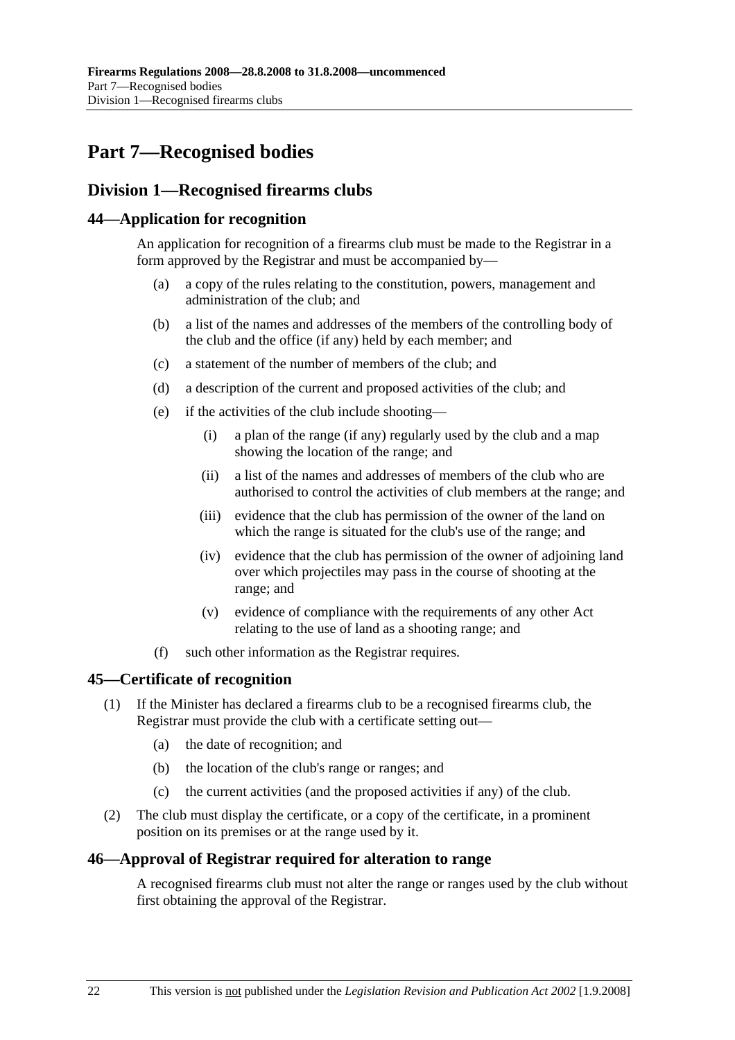# **Part 7—Recognised bodies**

## **Division 1—Recognised firearms clubs**

#### **44—Application for recognition**

An application for recognition of a firearms club must be made to the Registrar in a form approved by the Registrar and must be accompanied by—

- (a) a copy of the rules relating to the constitution, powers, management and administration of the club; and
- (b) a list of the names and addresses of the members of the controlling body of the club and the office (if any) held by each member; and
- (c) a statement of the number of members of the club; and
- (d) a description of the current and proposed activities of the club; and
- (e) if the activities of the club include shooting—
	- (i) a plan of the range (if any) regularly used by the club and a map showing the location of the range; and
	- (ii) a list of the names and addresses of members of the club who are authorised to control the activities of club members at the range; and
	- (iii) evidence that the club has permission of the owner of the land on which the range is situated for the club's use of the range; and
	- (iv) evidence that the club has permission of the owner of adjoining land over which projectiles may pass in the course of shooting at the range; and
	- (v) evidence of compliance with the requirements of any other Act relating to the use of land as a shooting range; and
- (f) such other information as the Registrar requires.

#### **45—Certificate of recognition**

- (1) If the Minister has declared a firearms club to be a recognised firearms club, the Registrar must provide the club with a certificate setting out—
	- (a) the date of recognition; and
	- (b) the location of the club's range or ranges; and
	- (c) the current activities (and the proposed activities if any) of the club.
- (2) The club must display the certificate, or a copy of the certificate, in a prominent position on its premises or at the range used by it.

#### **46—Approval of Registrar required for alteration to range**

A recognised firearms club must not alter the range or ranges used by the club without first obtaining the approval of the Registrar.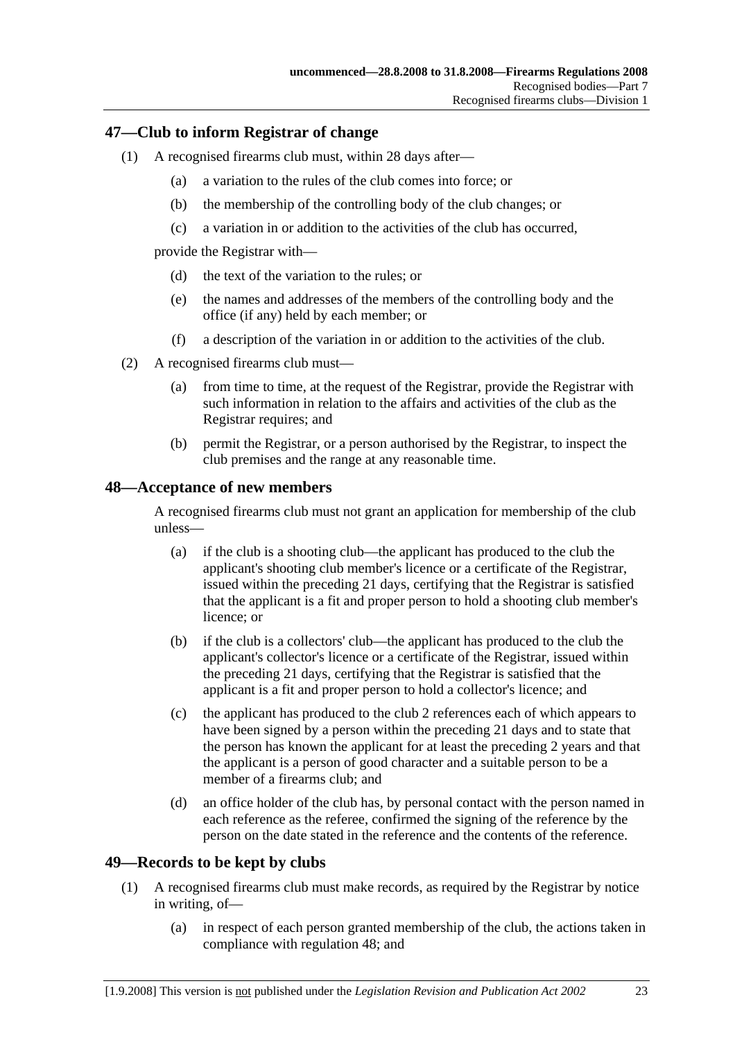#### **47—Club to inform Registrar of change**

- (1) A recognised firearms club must, within 28 days after—
	- (a) a variation to the rules of the club comes into force; or
	- (b) the membership of the controlling body of the club changes; or
	- (c) a variation in or addition to the activities of the club has occurred,

provide the Registrar with—

- (d) the text of the variation to the rules; or
- (e) the names and addresses of the members of the controlling body and the office (if any) held by each member; or
- (f) a description of the variation in or addition to the activities of the club.
- (2) A recognised firearms club must—
	- (a) from time to time, at the request of the Registrar, provide the Registrar with such information in relation to the affairs and activities of the club as the Registrar requires; and
	- (b) permit the Registrar, or a person authorised by the Registrar, to inspect the club premises and the range at any reasonable time.

#### **48—Acceptance of new members**

A recognised firearms club must not grant an application for membership of the club unless—

- (a) if the club is a shooting club—the applicant has produced to the club the applicant's shooting club member's licence or a certificate of the Registrar, issued within the preceding 21 days, certifying that the Registrar is satisfied that the applicant is a fit and proper person to hold a shooting club member's licence; or
- (b) if the club is a collectors' club—the applicant has produced to the club the applicant's collector's licence or a certificate of the Registrar, issued within the preceding 21 days, certifying that the Registrar is satisfied that the applicant is a fit and proper person to hold a collector's licence; and
- (c) the applicant has produced to the club 2 references each of which appears to have been signed by a person within the preceding 21 days and to state that the person has known the applicant for at least the preceding 2 years and that the applicant is a person of good character and a suitable person to be a member of a firearms club; and
- (d) an office holder of the club has, by personal contact with the person named in each reference as the referee, confirmed the signing of the reference by the person on the date stated in the reference and the contents of the reference.

### **49—Records to be kept by clubs**

- (1) A recognised firearms club must make records, as required by the Registrar by notice in writing, of—
	- (a) in respect of each person granted membership of the club, the actions taken in compliance with regulation 48; and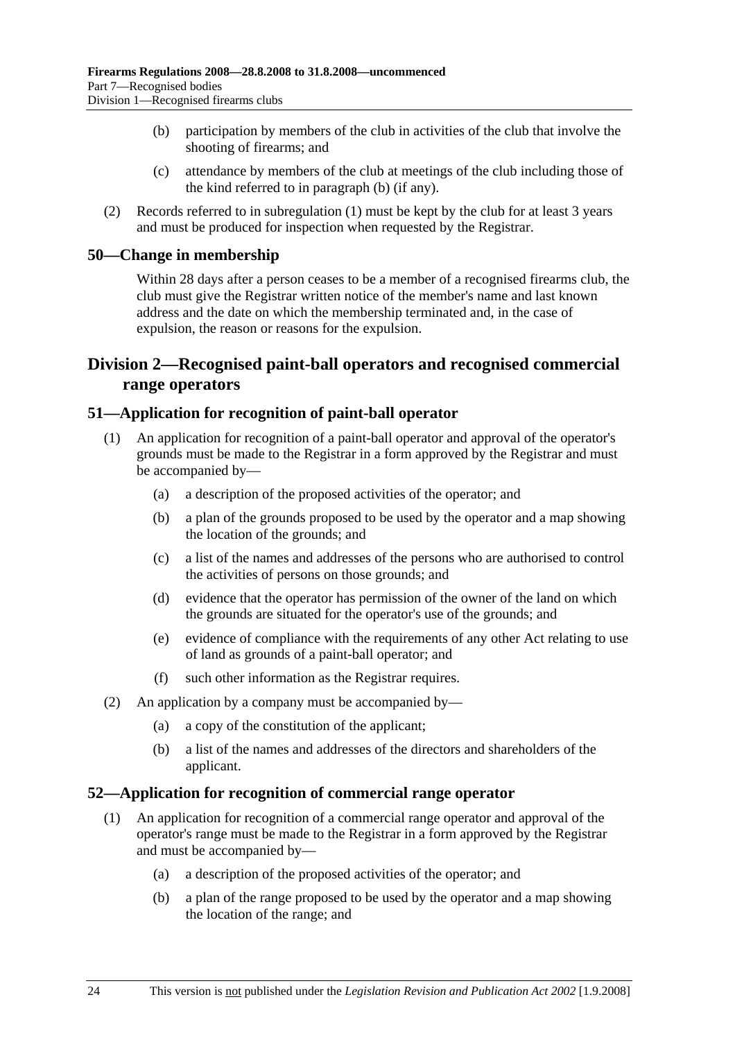- (b) participation by members of the club in activities of the club that involve the shooting of firearms; and
- (c) attendance by members of the club at meetings of the club including those of the kind referred to in paragraph (b) (if any).
- (2) Records referred to in subregulation (1) must be kept by the club for at least 3 years and must be produced for inspection when requested by the Registrar.

#### **50—Change in membership**

Within 28 days after a person ceases to be a member of a recognised firearms club, the club must give the Registrar written notice of the member's name and last known address and the date on which the membership terminated and, in the case of expulsion, the reason or reasons for the expulsion.

## **Division 2—Recognised paint-ball operators and recognised commercial range operators**

#### **51—Application for recognition of paint-ball operator**

- (1) An application for recognition of a paint-ball operator and approval of the operator's grounds must be made to the Registrar in a form approved by the Registrar and must be accompanied by—
	- (a) a description of the proposed activities of the operator; and
	- (b) a plan of the grounds proposed to be used by the operator and a map showing the location of the grounds; and
	- (c) a list of the names and addresses of the persons who are authorised to control the activities of persons on those grounds; and
	- (d) evidence that the operator has permission of the owner of the land on which the grounds are situated for the operator's use of the grounds; and
	- (e) evidence of compliance with the requirements of any other Act relating to use of land as grounds of a paint-ball operator; and
	- (f) such other information as the Registrar requires.
- (2) An application by a company must be accompanied by—
	- (a) a copy of the constitution of the applicant;
	- (b) a list of the names and addresses of the directors and shareholders of the applicant.

#### **52—Application for recognition of commercial range operator**

- (1) An application for recognition of a commercial range operator and approval of the operator's range must be made to the Registrar in a form approved by the Registrar and must be accompanied by—
	- (a) a description of the proposed activities of the operator; and
	- (b) a plan of the range proposed to be used by the operator and a map showing the location of the range; and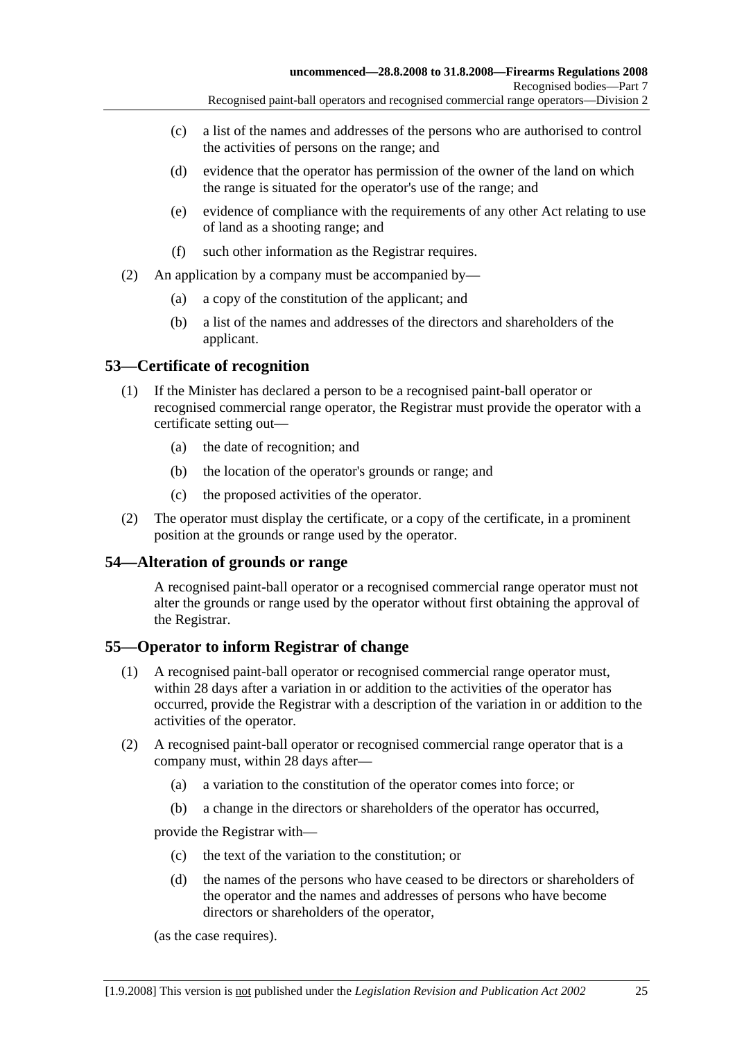- Recognised paint-ball operators and recognised commercial range operators—Division 2
- (c) a list of the names and addresses of the persons who are authorised to control the activities of persons on the range; and
- (d) evidence that the operator has permission of the owner of the land on which the range is situated for the operator's use of the range; and
- (e) evidence of compliance with the requirements of any other Act relating to use of land as a shooting range; and
- (f) such other information as the Registrar requires.
- (2) An application by a company must be accompanied by—
	- (a) a copy of the constitution of the applicant; and
	- (b) a list of the names and addresses of the directors and shareholders of the applicant.

#### **53—Certificate of recognition**

- (1) If the Minister has declared a person to be a recognised paint-ball operator or recognised commercial range operator, the Registrar must provide the operator with a certificate setting out—
	- (a) the date of recognition; and
	- (b) the location of the operator's grounds or range; and
	- (c) the proposed activities of the operator.
- (2) The operator must display the certificate, or a copy of the certificate, in a prominent position at the grounds or range used by the operator.

#### **54—Alteration of grounds or range**

A recognised paint-ball operator or a recognised commercial range operator must not alter the grounds or range used by the operator without first obtaining the approval of the Registrar.

#### **55—Operator to inform Registrar of change**

- (1) A recognised paint-ball operator or recognised commercial range operator must, within 28 days after a variation in or addition to the activities of the operator has occurred, provide the Registrar with a description of the variation in or addition to the activities of the operator.
- (2) A recognised paint-ball operator or recognised commercial range operator that is a company must, within 28 days after—
	- (a) a variation to the constitution of the operator comes into force; or
	- (b) a change in the directors or shareholders of the operator has occurred,

provide the Registrar with—

- (c) the text of the variation to the constitution; or
- (d) the names of the persons who have ceased to be directors or shareholders of the operator and the names and addresses of persons who have become directors or shareholders of the operator,

(as the case requires).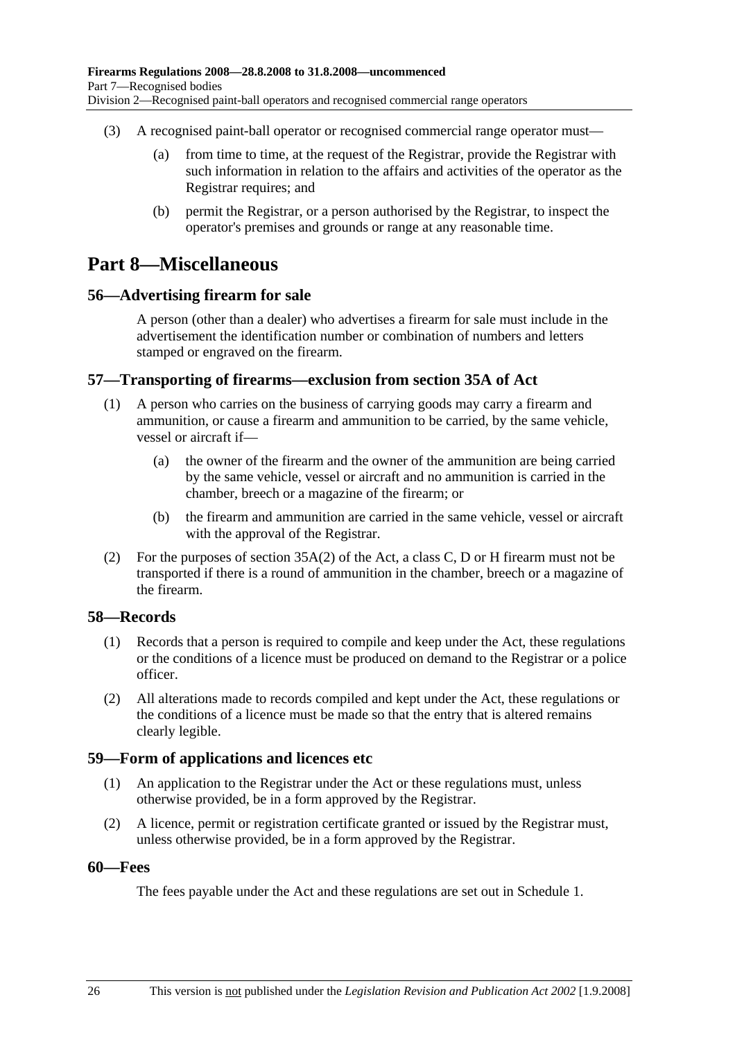- (3) A recognised paint-ball operator or recognised commercial range operator must—
	- (a) from time to time, at the request of the Registrar, provide the Registrar with such information in relation to the affairs and activities of the operator as the Registrar requires; and
	- (b) permit the Registrar, or a person authorised by the Registrar, to inspect the operator's premises and grounds or range at any reasonable time.

## **Part 8—Miscellaneous**

#### **56—Advertising firearm for sale**

A person (other than a dealer) who advertises a firearm for sale must include in the advertisement the identification number or combination of numbers and letters stamped or engraved on the firearm.

#### **57—Transporting of firearms—exclusion from section 35A of Act**

- (1) A person who carries on the business of carrying goods may carry a firearm and ammunition, or cause a firearm and ammunition to be carried, by the same vehicle, vessel or aircraft if—
	- (a) the owner of the firearm and the owner of the ammunition are being carried by the same vehicle, vessel or aircraft and no ammunition is carried in the chamber, breech or a magazine of the firearm; or
	- (b) the firearm and ammunition are carried in the same vehicle, vessel or aircraft with the approval of the Registrar.
- (2) For the purposes of section  $35A(2)$  of the Act, a class C, D or H firearm must not be transported if there is a round of ammunition in the chamber, breech or a magazine of the firearm.

#### **58—Records**

- (1) Records that a person is required to compile and keep under the Act, these regulations or the conditions of a licence must be produced on demand to the Registrar or a police officer.
- (2) All alterations made to records compiled and kept under the Act, these regulations or the conditions of a licence must be made so that the entry that is altered remains clearly legible.

#### **59—Form of applications and licences etc**

- (1) An application to the Registrar under the Act or these regulations must, unless otherwise provided, be in a form approved by the Registrar.
- (2) A licence, permit or registration certificate granted or issued by the Registrar must, unless otherwise provided, be in a form approved by the Registrar.

#### **60—Fees**

The fees payable under the Act and these regulations are set out in Schedule 1.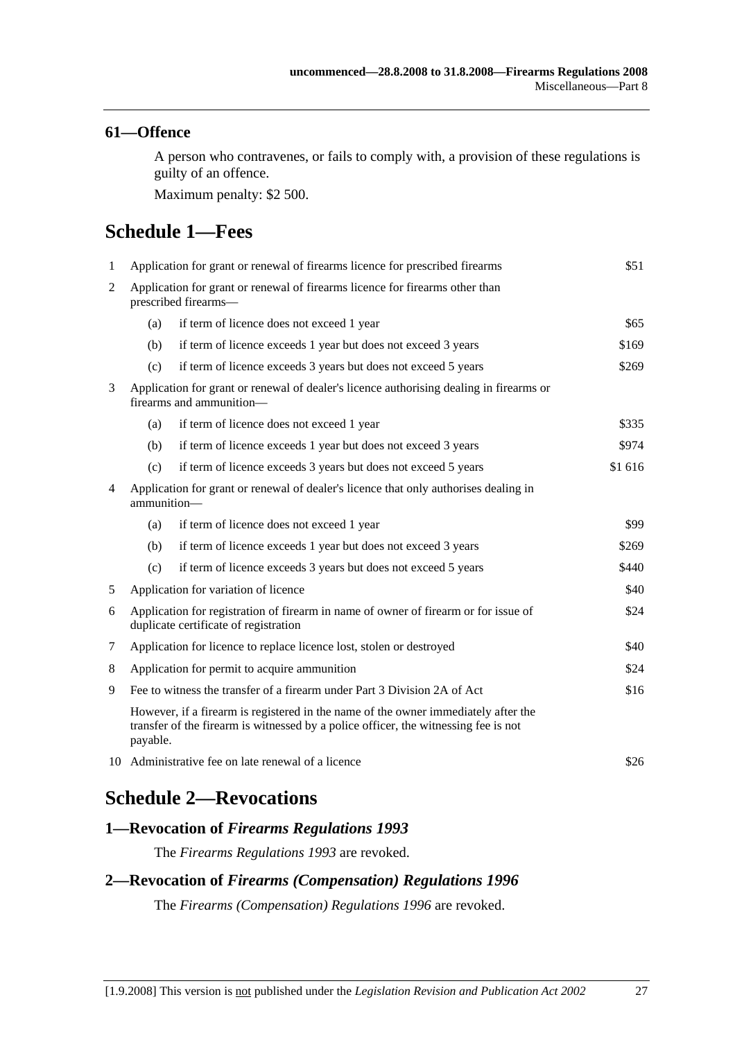#### **61—Offence**

A person who contravenes, or fails to comply with, a provision of these regulations is guilty of an offence.

Maximum penalty: \$2 500.

# **Schedule 1—Fees**

| $\mathbf{1}$   | Application for grant or renewal of firearms licence for prescribed firearms                                                                                                          |                                                                |         |  |
|----------------|---------------------------------------------------------------------------------------------------------------------------------------------------------------------------------------|----------------------------------------------------------------|---------|--|
| $\overline{2}$ | Application for grant or renewal of firearms licence for firearms other than<br>prescribed firearms-                                                                                  |                                                                |         |  |
|                | (a)                                                                                                                                                                                   | if term of licence does not exceed 1 year                      | \$65    |  |
|                | (b)                                                                                                                                                                                   | if term of licence exceeds 1 year but does not exceed 3 years  | \$169   |  |
|                | (c)                                                                                                                                                                                   | if term of licence exceeds 3 years but does not exceed 5 years | \$269   |  |
| 3              | Application for grant or renewal of dealer's licence authorising dealing in firearms or<br>firearms and ammunition-                                                                   |                                                                |         |  |
|                | (a)                                                                                                                                                                                   | if term of licence does not exceed 1 year                      | \$335   |  |
|                | (b)                                                                                                                                                                                   | if term of licence exceeds 1 year but does not exceed 3 years  | \$974   |  |
|                | (c)                                                                                                                                                                                   | if term of licence exceeds 3 years but does not exceed 5 years | \$1 616 |  |
| 4              | Application for grant or renewal of dealer's licence that only authorises dealing in<br>ammunition-                                                                                   |                                                                |         |  |
|                | (a)                                                                                                                                                                                   | if term of licence does not exceed 1 year                      | \$99    |  |
|                | (b)                                                                                                                                                                                   | if term of licence exceeds 1 year but does not exceed 3 years  | \$269   |  |
|                | (c)                                                                                                                                                                                   | if term of licence exceeds 3 years but does not exceed 5 years | \$440   |  |
| 5              | Application for variation of licence                                                                                                                                                  |                                                                | \$40    |  |
| 6              | Application for registration of firearm in name of owner of firearm or for issue of<br>\$24<br>duplicate certificate of registration                                                  |                                                                |         |  |
| 7              | Application for licence to replace licence lost, stolen or destroyed                                                                                                                  |                                                                | \$40    |  |
| 8              | Application for permit to acquire ammunition                                                                                                                                          |                                                                | \$24    |  |
| 9              | Fee to witness the transfer of a firearm under Part 3 Division 2A of Act                                                                                                              |                                                                | \$16    |  |
|                | However, if a firearm is registered in the name of the owner immediately after the<br>transfer of the firearm is witnessed by a police officer, the witnessing fee is not<br>payable. |                                                                |         |  |
|                | 10 Administrative fee on late renewal of a licence<br>\$26                                                                                                                            |                                                                |         |  |
|                |                                                                                                                                                                                       |                                                                |         |  |

## **Schedule 2—Revocations**

#### **1—Revocation of** *Firearms Regulations 1993*

The *Firearms Regulations 1993* are revoked.

## **2—Revocation of** *Firearms (Compensation) Regulations 1996*

The *Firearms (Compensation) Regulations 1996* are revoked.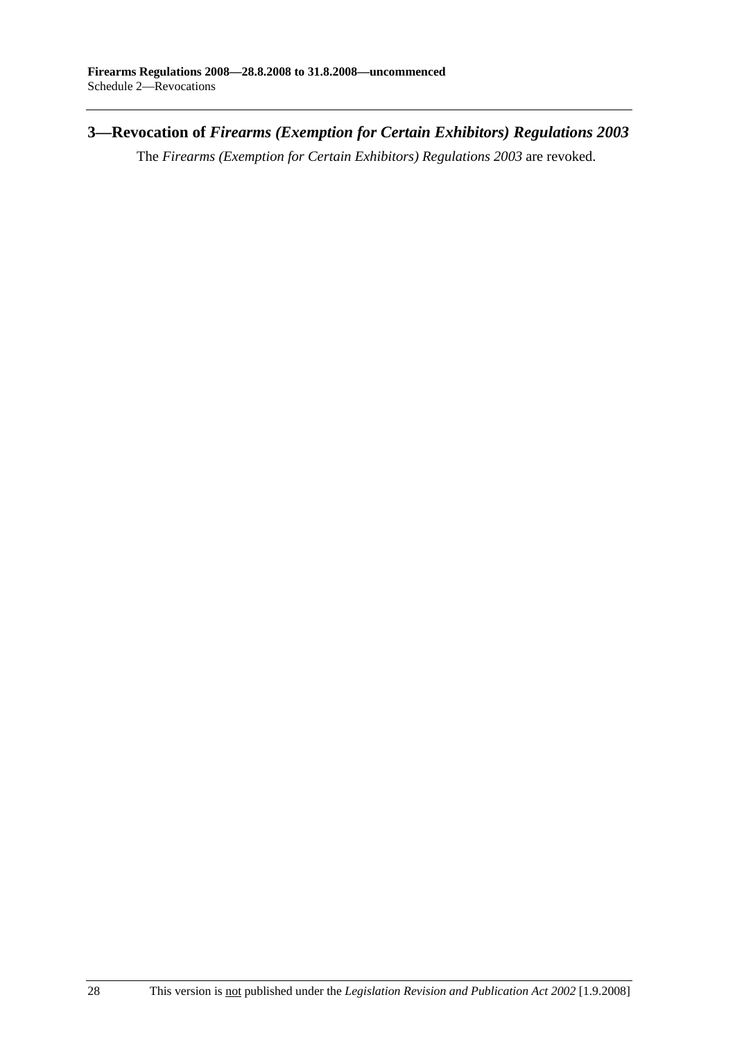**3—Revocation of** *Firearms (Exemption for Certain Exhibitors) Regulations 2003*

The *Firearms (Exemption for Certain Exhibitors) Regulations 2003* are revoked.